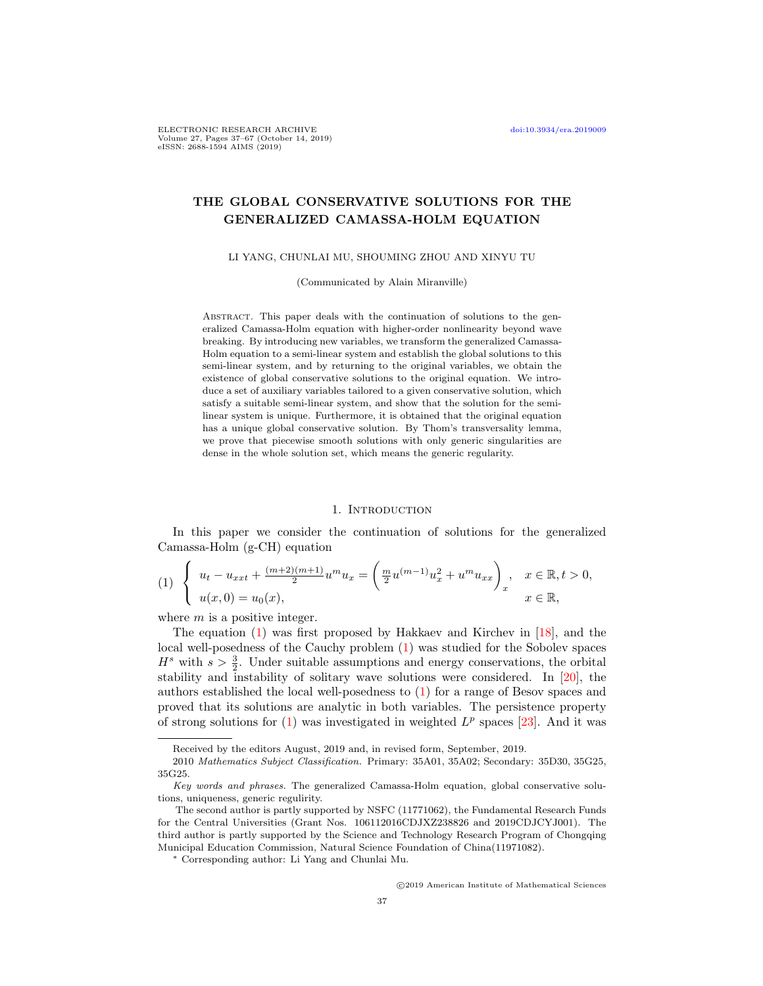# THE GLOBAL CONSERVATIVE SOLUTIONS FOR THE GENERALIZED CAMASSA-HOLM EQUATION

LI YANG, CHUNLAI MU, SHOUMING ZHOU AND XINYU TU

(Communicated by Alain Miranville)

ABSTRACT. This paper deals with the continuation of solutions to the generalized Camassa-Holm equation with higher-order nonlinearity beyond wave breaking. By introducing new variables, we transform the generalized Camassa-Holm equation to a semi-linear system and establish the global solutions to this semi-linear system, and by returning to the original variables, we obtain the existence of global conservative solutions to the original equation. We introduce a set of auxiliary variables tailored to a given conservative solution, which satisfy a suitable semi-linear system, and show that the solution for the semilinear system is unique. Furthermore, it is obtained that the original equation has a unique global conservative solution. By Thom's transversality lemma, we prove that piecewise smooth solutions with only generic singularities are dense in the whole solution set, which means the generic regularity.

#### 1. INTRODUCTION

In this paper we consider the continuation of solutions for the generalized Camassa-Holm (g-CH) equation

<span id="page-0-0"></span>
$$
(1) \begin{cases} u_t - u_{xxt} + \frac{(m+2)(m+1)}{2} u^m u_x = \left(\frac{m}{2} u^{(m-1)} u_x^2 + u^m u_{xx}\right)_x, & x \in \mathbb{R}, t > 0, \\ u(x, 0) = u_0(x), & x \in \mathbb{R}, \end{cases}
$$

where  $m$  is a positive integer.

The equation  $(1)$  was first proposed by Hakkaev and Kirchev in  $|18|$ , and the local well-posedness of the Cauchy problem [\(1\)](#page-0-0) was studied for the Sobolev spaces  $H^s$  with  $s > \frac{3}{2}$ . Under suitable assumptions and energy conservations, the orbital stability and instability of solitary wave solutions were considered. In [\[20\]](#page-29-1), the authors established the local well-posedness to [\(1\)](#page-0-0) for a range of Besov spaces and proved that its solutions are analytic in both variables. The persistence property of strong solutions for  $(1)$  was investigated in weighted  $L^p$  spaces [\[23\]](#page-29-2). And it was

Received by the editors August, 2019 and, in revised form, September, 2019.

<sup>2010</sup> Mathematics Subject Classification. Primary: 35A01, 35A02; Secondary: 35D30, 35G25, 35G25.

Key words and phrases. The generalized Camassa-Holm equation, global conservative solutions, uniqueness, generic regulirity.

The second author is partly supported by NSFC (11771062), the Fundamental Research Funds for the Central Universities (Grant Nos. 106112016CDJXZ238826 and 2019CDJCYJ001). The third author is partly supported by the Science and Technology Research Program of Chongqing Municipal Education Commission, Natural Science Foundation of China(11971082).

<sup>∗</sup> Corresponding author: Li Yang and Chunlai Mu.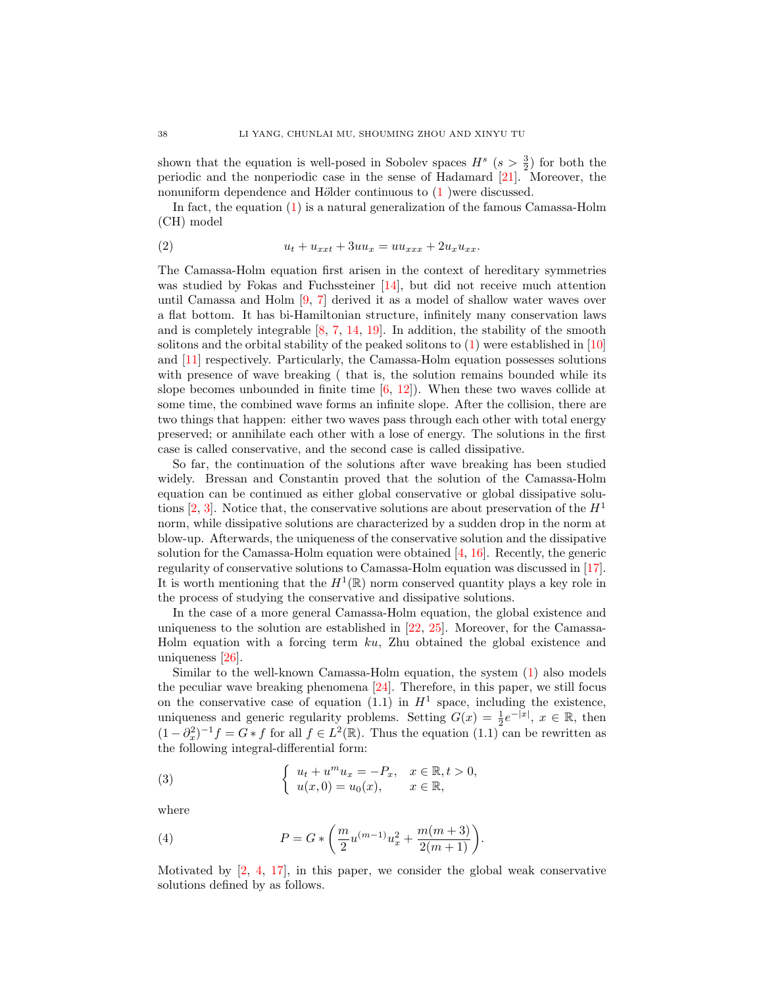shown that the equation is well-posed in Sobolev spaces  $H^s$  ( $s > \frac{3}{2}$ ) for both the periodic and the nonperiodic case in the sense of Hadamard [\[21\]](#page-29-3). Moreover, the nonuniform dependence and Hölder continuous to  $(1)$  were discussed.

In fact, the equation [\(1\)](#page-0-0) is a natural generalization of the famous Camassa-Holm (CH) model

(2) 
$$
u_t + u_{xxt} + 3uu_x = uu_{xxx} + 2u_xu_{xx}.
$$

The Camassa-Holm equation first arisen in the context of hereditary symmetries was studied by Fokas and Fuchssteiner [\[14\]](#page-29-4), but did not receive much attention until Camassa and Holm [\[9,](#page-29-5) [7\]](#page-29-6) derived it as a model of shallow water waves over a flat bottom. It has bi-Hamiltonian structure, infinitely many conservation laws and is completely integrable [\[8,](#page-29-7) [7,](#page-29-6) [14,](#page-29-4) [19\]](#page-29-8). In addition, the stability of the smooth solitons and the orbital stability of the peaked solitons to [\(1\)](#page-0-0) were established in [\[10\]](#page-29-9) and [\[11\]](#page-29-10) respectively. Particularly, the Camassa-Holm equation possesses solutions with presence of wave breaking ( that is, the solution remains bounded while its slope becomes unbounded in finite time  $[6, 12]$  $[6, 12]$ . When these two waves collide at some time, the combined wave forms an infinite slope. After the collision, there are two things that happen: either two waves pass through each other with total energy preserved; or annihilate each other with a lose of energy. The solutions in the first case is called conservative, and the second case is called dissipative.

So far, the continuation of the solutions after wave breaking has been studied widely. Bressan and Constantin proved that the solution of the Camassa-Holm equation can be continued as either global conservative or global dissipative solutions  $[2, 3]$  $[2, 3]$ . Notice that, the conservative solutions are about preservation of the  $H<sup>1</sup>$ norm, while dissipative solutions are characterized by a sudden drop in the norm at blow-up. Afterwards, the uniqueness of the conservative solution and the dissipative solution for the Camassa-Holm equation were obtained [\[4,](#page-29-15) [16\]](#page-29-16). Recently, the generic regularity of conservative solutions to Camassa-Holm equation was discussed in [\[17\]](#page-29-17). It is worth mentioning that the  $H^1(\mathbb{R})$  norm conserved quantity plays a key role in the process of studying the conservative and dissipative solutions.

In the case of a more general Camassa-Holm equation, the global existence and uniqueness to the solution are established in [\[22,](#page-29-18) [25\]](#page-29-19). Moreover, for the Camassa-Holm equation with a forcing term ku, Zhu obtained the global existence and uniqueness [\[26\]](#page-29-20).

Similar to the well-known Camassa-Holm equation, the system [\(1\)](#page-0-0) also models the peculiar wave breaking phenomena  $[24]$ . Therefore, in this paper, we still focus on the conservative case of equation (1.1) in  $H^1$  space, including the existence, uniqueness and generic regularity problems. Setting  $G(x) = \frac{1}{2}e^{-|x|}, x \in \mathbb{R}$ , then  $(1 - \partial_x^2)^{-1} f = G * f$  for all  $f \in L^2(\mathbb{R})$ . Thus the equation  $(1.1)$  can be rewritten as the following integral-differential form:

<span id="page-1-0"></span>(3) 
$$
\begin{cases} u_t + u^m u_x = -P_x, & x \in \mathbb{R}, t > 0, \\ u(x, 0) = u_0(x), & x \in \mathbb{R}, \end{cases}
$$

where

<span id="page-1-1"></span>(4) 
$$
P = G * \left(\frac{m}{2}u^{(m-1)}u_x^2 + \frac{m(m+3)}{2(m+1)}\right).
$$

Motivated by  $[2, 4, 17]$  $[2, 4, 17]$  $[2, 4, 17]$  $[2, 4, 17]$ , in this paper, we consider the global weak conservative solutions defined by as follows.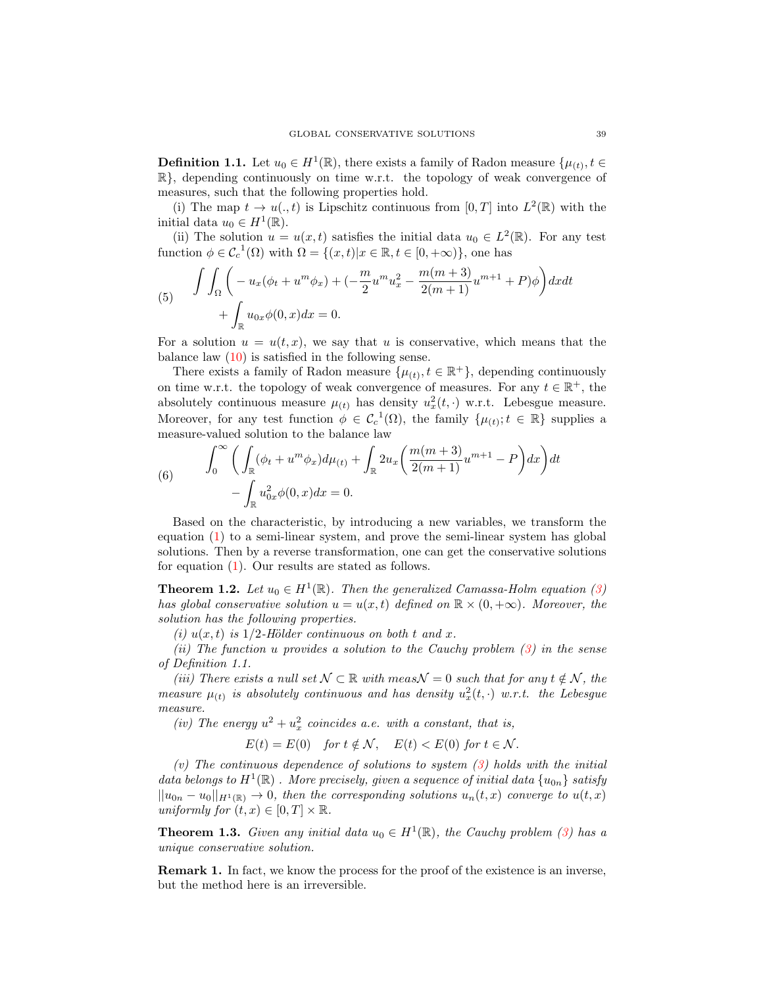**Definition 1.1.** Let  $u_0 \in H^1(\mathbb{R})$ , there exists a family of Radon measure  $\{\mu_{(t)}, t \in$  $\mathbb{R}$ , depending continuously on time w.r.t. the topology of weak convergence of measures, such that the following properties hold.

(i) The map  $t \to u(.,t)$  is Lipschitz continuous from  $[0,T]$  into  $L^2(\mathbb{R})$  with the initial data  $u_0 \in H^1(\mathbb{R})$ .

(ii) The solution  $u = u(x, t)$  satisfies the initial data  $u_0 \in L^2(\mathbb{R})$ . For any test function  $\phi \in C_c^{-1}(\Omega)$  with  $\Omega = \{(x, t)|x \in \mathbb{R}, t \in [0, +\infty)\}\)$ , one has

<span id="page-2-1"></span>(5) 
$$
\int \int_{\Omega} \left( -u_x(\phi_t + u^m \phi_x) + (-\frac{m}{2} u^m u_x^2 - \frac{m(m+3)}{2(m+1)} u^{m+1} + P)\phi \right) dx dt + \int_{\mathbb{R}} u_{0x} \phi(0, x) dx = 0.
$$

For a solution  $u = u(t, x)$ , we say that u is conservative, which means that the balance law  $(10)$  is satisfied in the following sense.

There exists a family of Radon measure  $\{\mu(t), t \in \mathbb{R}^+\}$ , depending continuously on time w.r.t. the topology of weak convergence of measures. For any  $t \in \mathbb{R}^+$ , the absolutely continuous measure  $\mu_{(t)}$  has density  $u_x^2(t, \cdot)$  w.r.t. Lebesgue measure. Moreover, for any test function  $\phi \in C_c^1(\Omega)$ , the family  $\{\mu_{(t)}; t \in \mathbb{R}\}\$  supplies a measure-valued solution to the balance law

<span id="page-2-2"></span>(6) 
$$
\int_0^{\infty} \left( \int_{\mathbb{R}} (\phi_t + u^m \phi_x) d\mu_{(t)} + \int_{\mathbb{R}} 2u_x \left( \frac{m(m+3)}{2(m+1)} u^{m+1} - P \right) dx \right) dt - \int_{\mathbb{R}} u_{0x}^2 \phi(0, x) dx = 0.
$$

Based on the characteristic, by introducing a new variables, we transform the equation [\(1\)](#page-0-0) to a semi-linear system, and prove the semi-linear system has global solutions. Then by a reverse transformation, one can get the conservative solutions for equation [\(1\)](#page-0-0). Our results are stated as follows.

<span id="page-2-0"></span>**Theorem 1.2.** Let  $u_0 \in H^1(\mathbb{R})$ . Then the generalized Camassa-Holm equation [\(3\)](#page-1-0) has global conservative solution  $u = u(x, t)$  defined on  $\mathbb{R} \times (0, +\infty)$ . Moreover, the solution has the following properties.

(i)  $u(x, t)$  is 1/2-Hölder continuous on both t and x.

(ii) The function u provides a solution to the Cauchy problem  $(3)$  in the sense of Definition 1.1.

(iii) There exists a null set  $\mathcal{N} \subset \mathbb{R}$  with meas  $\mathcal{N} = 0$  such that for any  $t \notin \mathcal{N}$ , the measure  $\mu_{(t)}$  is absolutely continuous and has density  $u_x^2(t,\cdot)$  w.r.t. the Lebesgue measure.

(iv) The energy  $u^2 + u_x^2$  coincides a.e. with a constant, that is,

$$
E(t) = E(0) \quad \text{for } t \notin \mathcal{N}, \quad E(t) < E(0) \text{ for } t \in \mathcal{N}.
$$

(v) The continuous dependence of solutions to system  $(3)$  holds with the initial data belongs to  $H^1(\mathbb{R})$  . More precisely, given a sequence of initial data  $\{u_{0n}\}$  satisfy  $||u_{0n} - u_0||_{H^1(\mathbb{R})} \to 0$ , then the corresponding solutions  $u_n(t, x)$  converge to  $u(t, x)$ uniformly for  $(t, x) \in [0, T] \times \mathbb{R}$ .

<span id="page-2-3"></span>**Theorem 1.3.** Given any initial data  $u_0 \in H^1(\mathbb{R})$ , the Cauchy problem [\(3\)](#page-1-0) has a unique conservative solution.

Remark 1. In fact, we know the process for the proof of the existence is an inverse, but the method here is an irreversible.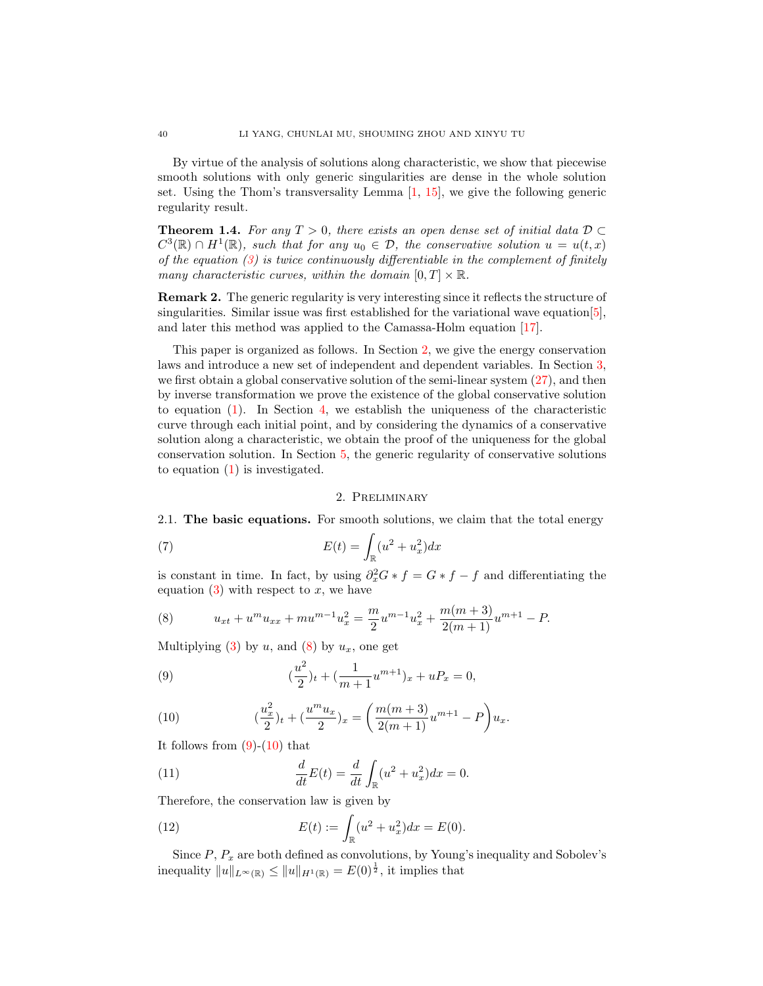By virtue of the analysis of solutions along characteristic, we show that piecewise smooth solutions with only generic singularities are dense in the whole solution set. Using the Thom's transversality Lemma [\[1,](#page-29-22) [15\]](#page-29-23), we give the following generic regularity result.

<span id="page-3-4"></span>**Theorem 1.4.** For any  $T > 0$ , there exists an open dense set of initial data  $D \subset$  $C^3(\mathbb{R}) \cap H^1(\mathbb{R})$ , such that for any  $u_0 \in \mathcal{D}$ , the conservative solution  $u = u(t,x)$ of the equation  $(3)$  is twice continuously differentiable in the complement of finitely many characteristic curves, within the domain  $[0, T] \times \mathbb{R}$ .

Remark 2. The generic regularity is very interesting since it reflects the structure of singularities. Similar issue was first established for the variational wave equation  $[5]$ , and later this method was applied to the Camassa-Holm equation [\[17\]](#page-29-17).

This paper is organized as follows. In Section [2,](#page-3-1) we give the energy conservation laws and introduce a new set of independent and dependent variables. In Section [3,](#page-5-0) we first obtain a global conservative solution of the semi-linear system [\(27\)](#page-5-1), and then by inverse transformation we prove the existence of the global conservative solution to equation [\(1\)](#page-0-0). In Section [4,](#page-14-0) we establish the uniqueness of the characteristic curve through each initial point, and by considering the dynamics of a conservative solution along a characteristic, we obtain the proof of the uniqueness for the global conservation solution. In Section [5,](#page-24-0) the generic regularity of conservative solutions to equation [\(1\)](#page-0-0) is investigated.

# 2. Preliminary

<span id="page-3-1"></span>2.1. The basic equations. For smooth solutions, we claim that the total energy

(7) 
$$
E(t) = \int_{\mathbb{R}} (u^2 + u_x^2) dx
$$

is constant in time. In fact, by using  $\partial_x^2 G * f = G * f - f$  and differentiating the equation  $(3)$  with respect to x, we have

<span id="page-3-2"></span>(8) 
$$
u_{xt} + u^m u_{xx} + m u^{m-1} u_x^2 = \frac{m}{2} u^{m-1} u_x^2 + \frac{m(m+3)}{2(m+1)} u^{m+1} - P.
$$

Multiplying [\(3\)](#page-1-0) by  $u$ , and [\(8\)](#page-3-2) by  $u_x$ , one get

<span id="page-3-3"></span>(9) 
$$
(\frac{u^2}{2})_t + (\frac{1}{m+1}u^{m+1})_x + uP_x = 0,
$$

<span id="page-3-0"></span>(10) 
$$
\left(\frac{u_x^2}{2}\right)_t + \left(\frac{u^m u_x}{2}\right)_x = \left(\frac{m(m+3)}{2(m+1)}u^{m+1} - P\right)u_x.
$$

It follows from  $(9)-(10)$  $(9)-(10)$  that

(11) 
$$
\frac{d}{dt}E(t) = \frac{d}{dt}\int_{\mathbb{R}} (u^2 + u_x^2)dx = 0.
$$

Therefore, the conservation law is given by

(12) 
$$
E(t) := \int_{\mathbb{R}} (u^2 + u_x^2) dx = E(0).
$$

Since  $P$ ,  $P_x$  are both defined as convolutions, by Young's inequality and Sobolev's inequality  $||u||_{L^{\infty}(\mathbb{R})} \le ||u||_{H^1(\mathbb{R})} = E(0)^{\frac{1}{2}}$ , it implies that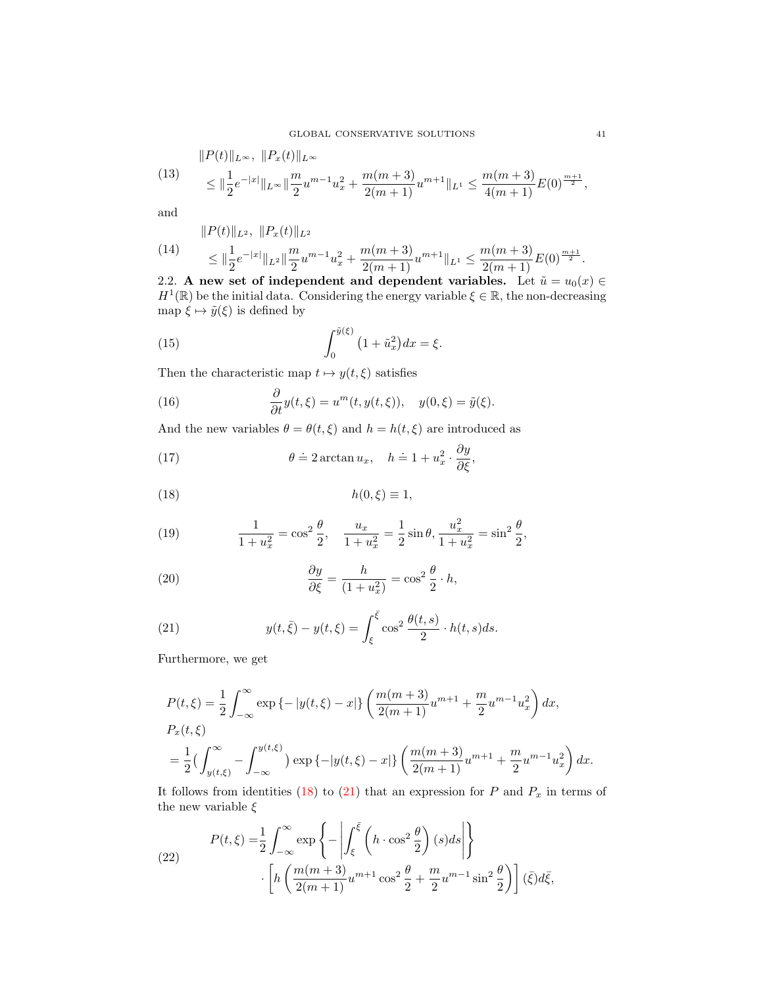(13) 
$$
\|P(t)\|_{L^{\infty}}, \|P_x(t)\|_{L^{\infty}}\leq \|\frac{1}{2}e^{-|x|}\|_{L^{\infty}}\|\frac{m}{2}u^{m-1}u_x^2 + \frac{m(m+3)}{2(m+1)}u^{m+1}\|_{L^1} \leq \frac{m(m+3)}{4(m+1)}E(0)^{\frac{m+1}{2}},
$$

and

<span id="page-4-7"></span>
$$
\|P(t)\|_{L^2},\ \|P_x(t)\|_{L^2}
$$

(14) 
$$
\leq \|\frac{1}{2}e^{-|x|}\|_{L^{2}}\|\frac{m}{2}u^{m-1}u_{x}^{2}+\frac{m(m+3)}{2(m+1)}u^{m+1}\|_{L^{1}} \leq \frac{m(m+3)}{2(m+1)}E(0)^{\frac{m+1}{2}}.
$$

2.2. A new set of independent and dependent variables. Let  $\tilde{u} = u_0(x) \in$  $H^1(\mathbb{R})$  be the initial data. Considering the energy variable  $\xi \in \mathbb{R}$ , the non-decreasing map  $\xi \mapsto \tilde{y}(\xi)$  is defined by

(15) 
$$
\int_0^{\tilde{y}(\xi)} (1 + \tilde{u}_x^2) dx = \xi.
$$

Then the characteristic map  $t\mapsto y(t,\xi)$  satisfies

<span id="page-4-2"></span>(16) 
$$
\frac{\partial}{\partial t}y(t,\xi) = u^m(t,y(t,\xi)), \quad y(0,\xi) = \tilde{y}(\xi).
$$

And the new variables  $\theta = \theta(t, \xi)$  and  $h = h(t, \xi)$  are introduced as

<span id="page-4-3"></span>(17) 
$$
\theta \doteq 2 \arctan u_x, \quad h \doteq 1 + u_x^2 \cdot \frac{\partial y}{\partial \xi},
$$

<span id="page-4-0"></span>
$$
(18) \t\t\t h(0,\xi) \equiv 1,
$$

<span id="page-4-4"></span>(19) 
$$
\frac{1}{1+u_x^2} = \cos^2 \frac{\theta}{2}, \quad \frac{u_x}{1+u_x^2} = \frac{1}{2} \sin \theta, \quad \frac{u_x^2}{1+u_x^2} = \sin^2 \frac{\theta}{2},
$$

<span id="page-4-6"></span>(20) 
$$
\frac{\partial y}{\partial \xi} = \frac{h}{(1 + u_x^2)} = \cos^2 \frac{\theta}{2} \cdot h,
$$

<span id="page-4-1"></span>(21) 
$$
y(t,\bar{\xi}) - y(t,\xi) = \int_{\xi}^{\bar{\xi}} \cos^2 \frac{\theta(t,s)}{2} \cdot h(t,s) ds.
$$

Furthermore, we get

<span id="page-4-5"></span>
$$
P(t,\xi) = \frac{1}{2} \int_{-\infty}^{\infty} \exp \{-|y(t,\xi) - x|\} \left( \frac{m(m+3)}{2(m+1)} u^{m+1} + \frac{m}{2} u^{m-1} u_x^2 \right) dx,
$$
  
\n
$$
P_x(t,\xi)
$$
  
\n
$$
= \frac{1}{2} \left( \int_{y(t,\xi)}^{\infty} - \int_{-\infty}^{y(t,\xi)} | \exp \{-|y(t,\xi) - x| \} \left( \frac{m(m+3)}{2(m+1)} u^{m+1} + \frac{m}{2} u^{m-1} u_x^2 \right) dx.
$$

It follows from identities [\(18\)](#page-4-0) to [\(21\)](#page-4-1) that an expression for  $P$  and  $P_x$  in terms of the new variable  $\xi$ 

(22) 
$$
P(t,\xi) = \frac{1}{2} \int_{-\infty}^{\infty} \exp\left\{-\left|\int_{\xi}^{\overline{\xi}} \left(h \cdot \cos^2 \frac{\theta}{2}\right)(s) ds\right|\right\} \cdot \left[h\left(\frac{m(m+3)}{2(m+1)} u^{m+1} \cos^2 \frac{\theta}{2} + \frac{m}{2} u^{m-1} \sin^2 \frac{\theta}{2}\right)\right](\overline{\xi}) d\overline{\xi},
$$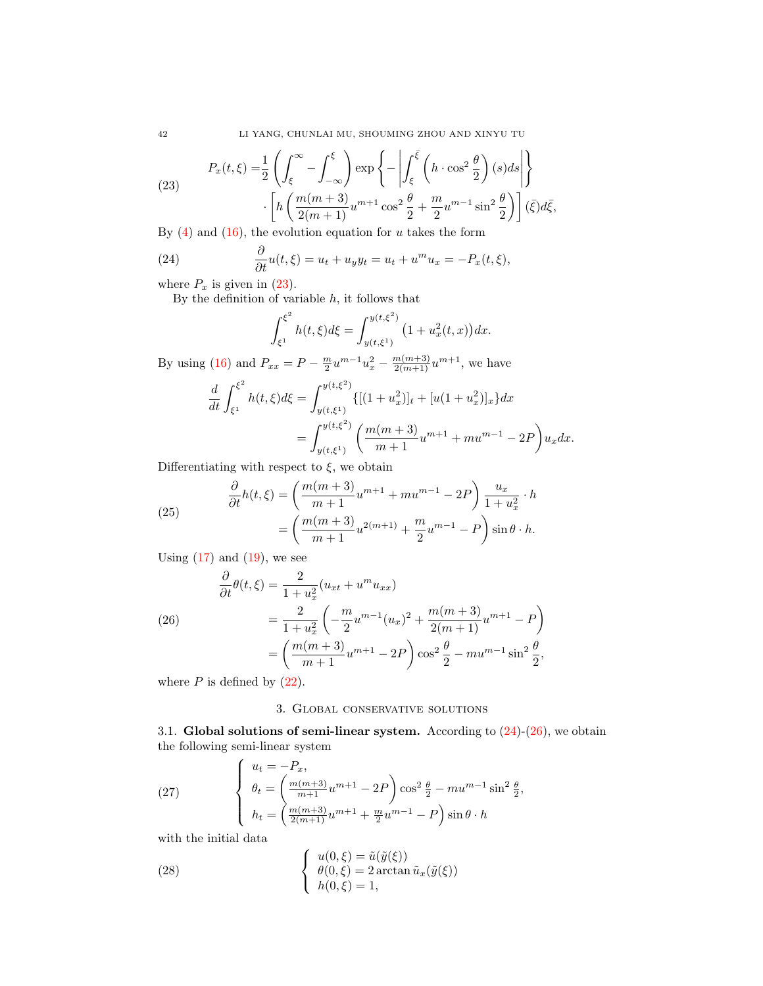42 LI YANG, CHUNLAI MU, SHOUMING ZHOU AND XINYU TU

<span id="page-5-2"></span>(23)  
\n
$$
P_x(t,\xi) = \frac{1}{2} \left( \int_{\xi}^{\infty} - \int_{-\infty}^{\xi} \right) \exp \left\{-\left| \int_{\xi}^{\overline{\xi}} \left( h \cdot \cos^2 \frac{\theta}{2} \right) (s) ds \right| \right\}
$$
\n
$$
\cdot \left[ h \left( \frac{m(m+3)}{2(m+1)} u^{m+1} \cos^2 \frac{\theta}{2} + \frac{m}{2} u^{m-1} \sin^2 \frac{\theta}{2} \right) \right] (\overline{\xi}) d\overline{\xi},
$$
\n
$$
P_x(t) \text{ and } (1\xi) \text{ the equilibrium equation for a taken the form}
$$

By  $(4)$  and  $(16)$ , the evolution equation for u takes the form

(24) 
$$
\frac{\partial}{\partial t}u(t,\xi) = u_t + u_y y_t = u_t + u^m u_x = -P_x(t,\xi),
$$

where  $P_x$  is given in [\(23\)](#page-5-2).

By the definition of variable  $h$ , it follows that

<span id="page-5-3"></span>
$$
\int_{\xi^1}^{\xi^2} h(t,\xi)d\xi = \int_{y(t,\xi^1)}^{y(t,\xi^2)} \left(1 + u_x^2(t,x)\right)dx.
$$

By using [\(16\)](#page-4-2) and  $P_{xx} = P - \frac{m}{2}u^{m-1}u_x^2 - \frac{m(m+3)}{2(m+1)}u^{m+1}$ , we have

$$
\frac{d}{dt} \int_{\xi^1}^{\xi^2} h(t,\xi) d\xi = \int_{y(t,\xi^1)}^{y(t,\xi^2)} \{[(1+u_x^2)]_t + [u(1+u_x^2)]_x\} dx
$$
  
= 
$$
\int_{y(t,\xi^1)}^{y(t,\xi^2)} \left(\frac{m(m+3)}{m+1}u^{m+1} + mu^{m-1} - 2P\right) u_x dx.
$$

Differentiating with respect to  $\xi$ , we obtain

(25) 
$$
\frac{\partial}{\partial t}h(t,\xi) = \left(\frac{m(m+3)}{m+1}u^{m+1} + mu^{m-1} - 2P\right)\frac{u_x}{1+u_x^2} \cdot h
$$

$$
= \left(\frac{m(m+3)}{m+1}u^{2(m+1)} + \frac{m}{2}u^{m-1} - P\right)\sin\theta \cdot h.
$$

Using  $(17)$  and  $(19)$ , we see

<span id="page-5-4"></span>(26)  
\n
$$
\frac{\partial}{\partial t}\theta(t,\xi) = \frac{2}{1+u_x^2}(u_{xt} + u^m u_{xx})
$$
\n
$$
= \frac{2}{1+u_x^2}\left(-\frac{m}{2}u^{m-1}(u_x)^2 + \frac{m(m+3)}{2(m+1)}u^{m+1} - P\right)
$$
\n
$$
= \left(\frac{m(m+3)}{m+1}u^{m+1} - 2P\right)\cos^2\frac{\theta}{2} - mu^{m-1}\sin^2\frac{\theta}{2},
$$

where  $P$  is defined by  $(22)$ .

# 3. Global conservative solutions

<span id="page-5-0"></span>3.1. Global solutions of semi-linear system. According to  $(24)-(26)$  $(24)-(26)$ , we obtain the following semi-linear system

<span id="page-5-1"></span>(27) 
$$
\begin{cases} u_t = -P_x, \\ \theta_t = \left(\frac{m(m+3)}{m+1}u^{m+1} - 2P\right)\cos^2\frac{\theta}{2} - mu^{m-1}\sin^2\frac{\theta}{2}, \\ h_t = \left(\frac{m(m+3)}{2(m+1)}u^{m+1} + \frac{m}{2}u^{m-1} - P\right)\sin\theta \cdot h \end{cases}
$$

with the initial data

<span id="page-5-5"></span>(28) 
$$
\begin{cases} u(0,\xi) = \tilde{u}(\tilde{y}(\xi)) \\ \theta(0,\xi) = 2 \arctan \tilde{u}_x(\tilde{y}(\xi)) \\ h(0,\xi) = 1, \end{cases}
$$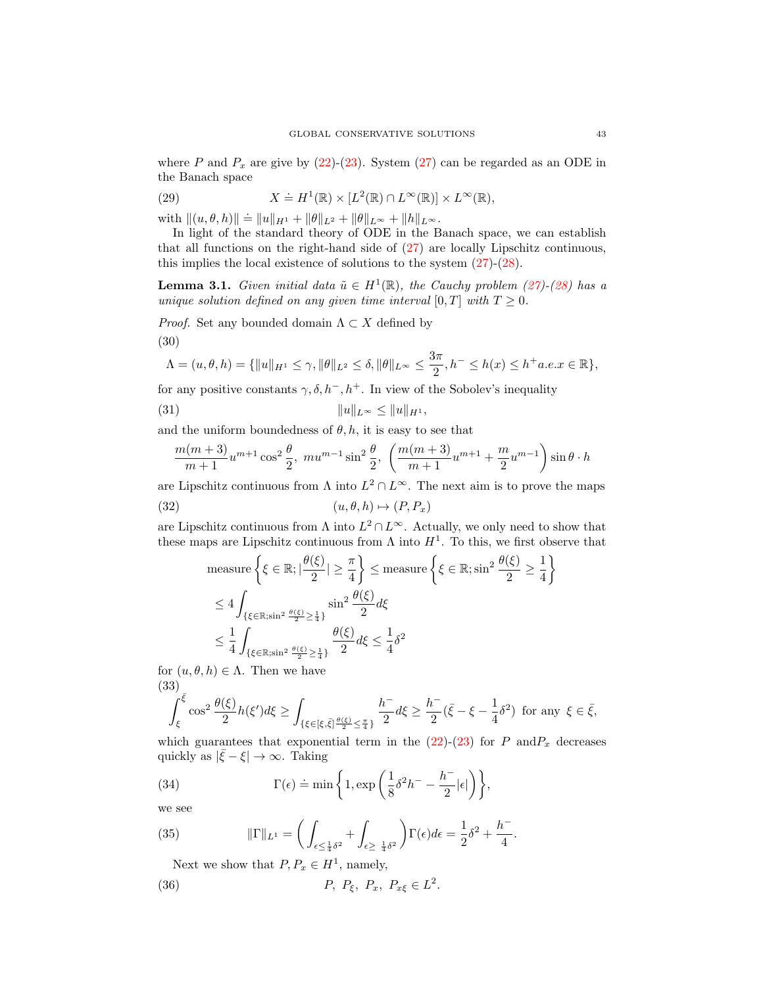where P and  $P_x$  are give by [\(22\)](#page-4-5)-[\(23\)](#page-5-2). System [\(27\)](#page-5-1) can be regarded as an ODE in the Banach space

(29) 
$$
X \doteq H^{1}(\mathbb{R}) \times [L^{2}(\mathbb{R}) \cap L^{\infty}(\mathbb{R})] \times L^{\infty}(\mathbb{R}),
$$

with  $||(u, \theta, h)|| \doteq ||u||_{H^1} + ||\theta||_{L^2} + ||\theta||_{L^{\infty}} + ||h||_{L^{\infty}}.$ 

In light of the standard theory of ODE in the Banach space, we can establish that all functions on the right-hand side of [\(27\)](#page-5-1) are locally Lipschitz continuous, this implies the local existence of solutions to the system [\(27\)](#page-5-1)-[\(28\)](#page-5-5).

**Lemma 3.1.** Given initial data  $\tilde{u} \in H^1(\mathbb{R})$ , the Cauchy problem [\(27\)](#page-5-1)-[\(28\)](#page-5-5) has a unique solution defined on any given time interval [0, T] with  $T \geq 0$ .

*Proof.* Set any bounded domain  $\Lambda \subset X$  defined by

$$
(30)
$$

$$
\Lambda=(u,\theta,h)=\{\|u\|_{H^1}\leq \gamma, \|\theta\|_{L^2}\leq \delta, \|\theta\|_{L^\infty}\leq \frac{3\pi}{2}, h^-\leq h(x)\leq h^+a.e. x\in\mathbb{R}\},
$$

for any positive constants  $\gamma$ ,  $\delta$ ,  $h^-$ ,  $h^+$ . In view of the Sobolev's inequality

(31) 
$$
||u||_{L^{\infty}} \leq ||u||_{H^{1}},
$$

and the uniform boundedness of  $\theta$ , h, it is easy to see that

$$
\frac{m(m+3)}{m+1}u^{m+1}\cos^2\frac{\theta}{2},\ mu^{m-1}\sin^2\frac{\theta}{2},\ \left(\frac{m(m+3)}{m+1}u^{m+1}+\frac{m}{2}u^{m-1}\right)\sin\theta\cdot h
$$

are Lipschitz continuous from  $\Lambda$  into  $L^2 \cap L^{\infty}$ . The next aim is to prove the maps

(32) 
$$
(u, \theta, h) \mapsto (P, P_x)
$$

are Lipschitz continuous from  $\Lambda$  into  $L^2 \cap L^{\infty}$ . Actually, we only need to show that these maps are Lipschitz continuous from  $\Lambda$  into  $H^1$ . To this, we first observe that

<span id="page-6-0"></span>
$$
\begin{aligned}\n\text{measure} & \left\{ \xi \in \mathbb{R}; |\frac{\theta(\xi)}{2}| \ge \frac{\pi}{4} \right\} \le \text{measure} \left\{ \xi \in \mathbb{R}; \sin^2 \frac{\theta(\xi)}{2} \ge \frac{1}{4} \right\} \\
& \le 4 \int_{\{\xi \in \mathbb{R}; \sin^2 \frac{\theta(\xi)}{2} \ge \frac{1}{4}\}} \sin^2 \frac{\theta(\xi)}{2} d\xi \\
& \le \frac{1}{4} \int_{\{\xi \in \mathbb{R}; \sin^2 \frac{\theta(\xi)}{2} \ge \frac{1}{4}\}} \frac{\theta(\xi)}{2} d\xi \le \frac{1}{4} \delta^2\n\end{aligned}
$$

for  $(u, \theta, h) \in \Lambda$ . Then we have (33)

$$
\int_{\xi}^{\overline{\xi}} \cos^2 \frac{\theta(\xi)}{2} h(\xi') d\xi \ge \int_{\{\xi \in [\xi,\overline{\xi}] \frac{\theta(\xi)}{2} \le \frac{\pi}{4}\}} \frac{h^-}{2} d\xi \ge \frac{h^-}{2} (\overline{\xi} - \xi - \frac{1}{4} \delta^2) \text{ for any } \xi \in \overline{\xi},
$$

which guarantees that exponential term in the  $(22)-(23)$  $(22)-(23)$  for P andP<sub>x</sub> decreases quickly as  $|\bar{\xi} - \xi| \to \infty$ . Taking

(34) 
$$
\Gamma(\epsilon) \doteq \min \left\{ 1, \exp \left( \frac{1}{8} \delta^2 h^- - \frac{h^-}{2} |\epsilon| \right) \right\},\,
$$

we see

(35) 
$$
\|\Gamma\|_{L^1} = \left(\int_{\epsilon \le \frac{1}{4}\delta^2} + \int_{\epsilon \ge \frac{1}{4}\delta^2}\right) \Gamma(\epsilon) d\epsilon = \frac{1}{2}\delta^2 + \frac{h^-}{4}.
$$

Next we show that  $P, P_x \in H^1$ , namely,

(36) 
$$
P, P_{\xi}, P_x, P_{x\xi} \in L^2
$$
.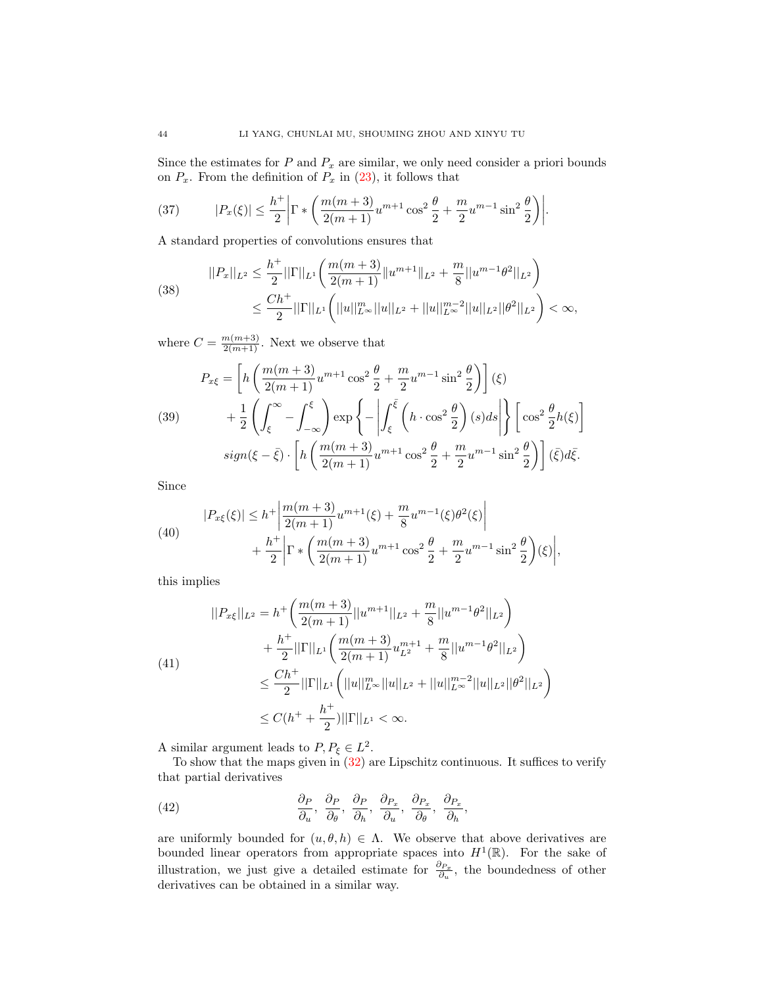Since the estimates for  $P$  and  $P_x$  are similar, we only need consider a priori bounds on  $P_x$ . From the definition of  $P_x$  in [\(23\)](#page-5-2), it follows that

(37) 
$$
|P_x(\xi)| \leq \frac{h^+}{2} \left| \Gamma \ast \left( \frac{m(m+3)}{2(m+1)} u^{m+1} \cos^2 \frac{\theta}{2} + \frac{m}{2} u^{m-1} \sin^2 \frac{\theta}{2} \right) \right|.
$$

A standard properties of convolutions ensures that

(38) 
$$
||P_x||_{L^2} \leq \frac{h^+}{2} ||\Gamma||_{L^1} \left( \frac{m(m+3)}{2(m+1)} ||u^{m+1}||_{L^2} + \frac{m}{8} ||u^{m-1}\theta^2||_{L^2} \right) \leq \frac{Ch^+}{2} ||\Gamma||_{L^1} \left( ||u||_{L^{\infty}}^m ||u||_{L^2} + ||u||_{L^{\infty}}^{m-2} ||u||_{L^2} ||\theta^2||_{L^2} \right) < \infty,
$$

where  $C = \frac{m(m+3)}{2(m+1)}$ . Next we observe that

<span id="page-7-1"></span>(39)  
\n
$$
P_{x\xi} = \left[ h \left( \frac{m(m+3)}{2(m+1)} u^{m+1} \cos^2 \frac{\theta}{2} + \frac{m}{2} u^{m-1} \sin^2 \frac{\theta}{2} \right) \right] (\xi)
$$
\n
$$
+ \frac{1}{2} \left( \int_{\xi}^{\infty} - \int_{-\infty}^{\xi} \right) \exp \left\{ - \left| \int_{\xi}^{\bar{\xi}} \left( h \cdot \cos^2 \frac{\theta}{2} \right) (s) ds \right| \right\} \left[ \cos^2 \frac{\theta}{2} h(\xi) \right]
$$
\n
$$
sign(\xi - \bar{\xi}) \cdot \left[ h \left( \frac{m(m+3)}{2(m+1)} u^{m+1} \cos^2 \frac{\theta}{2} + \frac{m}{2} u^{m-1} \sin^2 \frac{\theta}{2} \right) \right] (\bar{\xi}) d\bar{\xi}.
$$

Since

(40)  

$$
|P_{x\xi}(\xi)| \leq h^+ \left| \frac{m(m+3)}{2(m+1)} u^{m+1}(\xi) + \frac{m}{8} u^{m-1}(\xi) \theta^2(\xi) \right| + \frac{h^+}{2} \left| \Gamma \ast \left( \frac{m(m+3)}{2(m+1)} u^{m+1} \cos^2 \frac{\theta}{2} + \frac{m}{2} u^{m-1} \sin^2 \frac{\theta}{2} \right) (\xi) \right|,
$$

this implies

$$
||P_{x\xi}||_{L^2} = h^+ \left(\frac{m(m+3)}{2(m+1)}||u^{m+1}||_{L^2} + \frac{m}{8}||u^{m-1}\theta^2||_{L^2}\right) + \frac{h^+}{2}||\Gamma||_{L^1} \left(\frac{m(m+3)}{2(m+1)}u_{L^2}^{m+1} + \frac{m}{8}||u^{m-1}\theta^2||_{L^2}\right) \leq \frac{Ch^+}{2}||\Gamma||_{L^1} \left(||u||_{L^\infty}^m||u||_{L^2} + ||u||_{L^\infty}^{m-2}||u||_{L^2}||\theta^2||_{L^2}\right) \leq C(h^+ + \frac{h^+}{2})||\Gamma||_{L^1} < \infty.
$$

A similar argument leads to  $P, P_{\xi} \in L^2$ .

To show that the maps given in  $(32)$  are Lipschitz continuous. It suffices to verify that partial derivatives

<span id="page-7-0"></span>(42) 
$$
\frac{\partial P}{\partial u}, \frac{\partial P}{\partial \theta}, \frac{\partial P}{\partial h}, \frac{\partial P_x}{\partial u}, \frac{\partial P_x}{\partial \theta}, \frac{\partial P_x}{\partial h},
$$

are uniformly bounded for  $(u, \theta, h) \in \Lambda$ . We observe that above derivatives are bounded linear operators from appropriate spaces into  $H^1(\mathbb{R})$ . For the sake of illustration, we just give a detailed estimate for  $\frac{\partial_{P_x}}{\partial u}$ , the boundedness of other derivatives can be obtained in a similar way.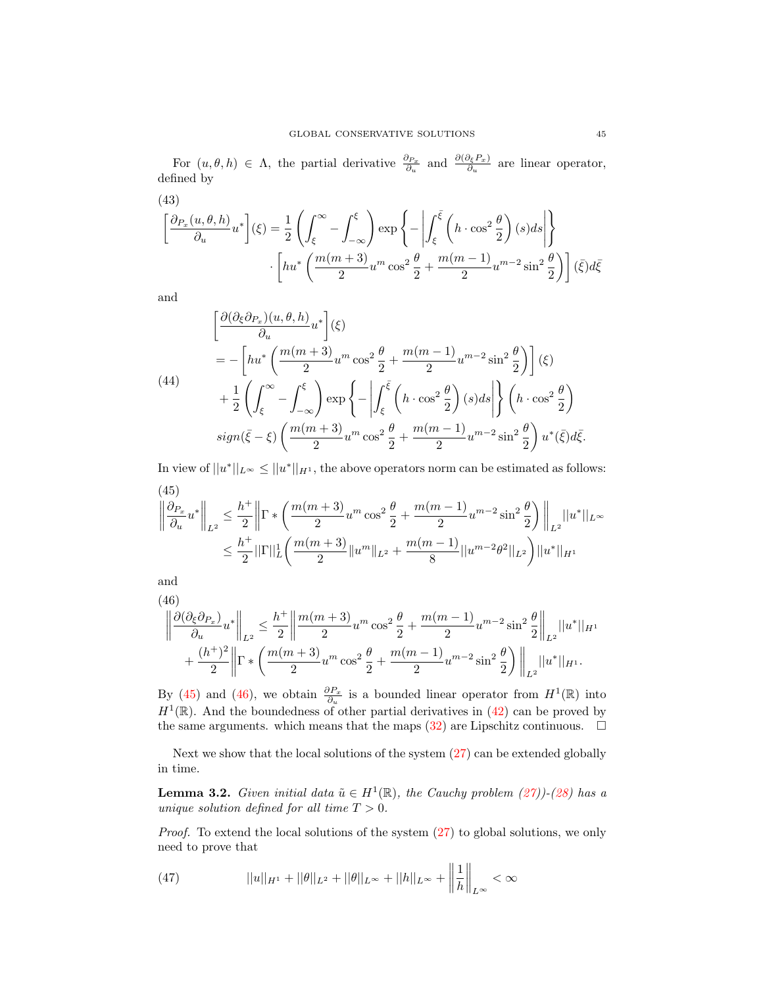For  $(u, \theta, h) \in \Lambda$ , the partial derivative  $\frac{\partial P_x}{\partial u}$  and  $\frac{\partial (\partial_{\xi} P_x)}{\partial u}$  are linear operator, defined by

(43)  
\n
$$
\left[\frac{\partial_{P_x}(u,\theta,h)}{\partial_u}u^*\right](\xi) = \frac{1}{2}\left(\int_{\xi}^{\infty} - \int_{-\infty}^{\xi}\right) \exp\left\{-\left|\int_{\xi}^{\overline{\xi}}\left(h \cdot \cos^2\frac{\theta}{2}\right)(s)ds\right|\right\}
$$
\n
$$
\cdot \left[hu^*\left(\frac{m(m+3)}{2}u^m\cos^2\frac{\theta}{2} + \frac{m(m-1)}{2}u^{m-2}\sin^2\frac{\theta}{2}\right)\right](\overline{\xi})d\overline{\xi}
$$

and

$$
\begin{aligned}\n&\left[\frac{\partial(\partial_{\xi}\partial_{P_x})(u,\theta,h)}{\partial_u}u^*\right](\xi) \\
&= -\left[hu^*\left(\frac{m(m+3)}{2}u^m\cos^2\frac{\theta}{2} + \frac{m(m-1)}{2}u^{m-2}\sin^2\frac{\theta}{2}\right)\right](\xi) \\
&+ \frac{1}{2}\left(\int_{\xi}^{\infty} - \int_{-\infty}^{\xi}\right)\exp\left\{-\left|\int_{\xi}^{\bar{\xi}}\left(h\cdot\cos^2\frac{\theta}{2}\right)(s)ds\right|\right\}\left(h\cdot\cos^2\frac{\theta}{2}\right) \\
&sign(\bar{\xi}-\xi)\left(\frac{m(m+3)}{2}u^m\cos^2\frac{\theta}{2} + \frac{m(m-1)}{2}u^{m-2}\sin^2\frac{\theta}{2}\right)u^*(\bar{\xi})d\bar{\xi}.\n\end{aligned}
$$

In view of  $||u^*||_{L^{\infty}} \le ||u^*||_{H^1}$ , the above operators norm can be estimated as follows: (45)

<span id="page-8-0"></span>
$$
\left\|\frac{\partial_{P_x}}{\partial u}u^*\right\|_{L^2} \le \frac{h^+}{2}\left\|\Gamma\ast\left(\frac{m(m+3)}{2}u^m\cos^2\frac{\theta}{2} + \frac{m(m-1)}{2}u^{m-2}\sin^2\frac{\theta}{2}\right)\right\|_{L^2}||u^*||_{L^\infty}
$$

$$
\le \frac{h^+}{2}||\Gamma||_L^1\left(\frac{m(m+3)}{2}||u^m||_{L^2} + \frac{m(m-1)}{8}||u^{m-2}\theta^2||_{L^2}\right)||u^*||_{H^1}
$$

and

<span id="page-8-1"></span>
$$
(46)
$$
\n
$$
\left\|\frac{\partial(\partial_{\xi}\partial_{P_x})}{\partial_{u}}u^*\right\|_{L^2} \leq \frac{h^+}{2}\left\|\frac{m(m+3)}{2}u^m\cos^2\frac{\theta}{2} + \frac{m(m-1)}{2}u^{m-2}\sin^2\frac{\theta}{2}\right\|_{L^2}\|u^*\|_{H^1} + \frac{(h^+)^2}{2}\left\|\Gamma*\left(\frac{m(m+3)}{2}u^m\cos^2\frac{\theta}{2} + \frac{m(m-1)}{2}u^{m-2}\sin^2\frac{\theta}{2}\right)\right\|_{L^2}\|u^*\|_{H^1}.
$$

By [\(45\)](#page-8-0) and [\(46\)](#page-8-1), we obtain  $\frac{\partial P_x}{\partial u}$  is a bounded linear operator from  $H^1(\mathbb{R})$  into  $H^1(\mathbb{R})$ . And the boundedness of other partial derivatives in [\(42\)](#page-7-0) can be proved by the same arguments. which means that the maps  $(32)$  are Lipschitz continuous.  $\Box$ 

Next we show that the local solutions of the system [\(27\)](#page-5-1) can be extended globally in time.

**Lemma 3.2.** Given initial data  $\tilde{u} \in H^1(\mathbb{R})$ , the Cauchy problem [\(27\)](#page-5-1))-[\(28\)](#page-5-5) has a unique solution defined for all time  $T > 0$ .

Proof. To extend the local solutions of the system [\(27\)](#page-5-1) to global solutions, we only need to prove that

(47) 
$$
||u||_{H^1} + ||\theta||_{L^2} + ||\theta||_{L^{\infty}} + ||h||_{L^{\infty}} + \left\|\frac{1}{h}\right\|_{L^{\infty}} < \infty
$$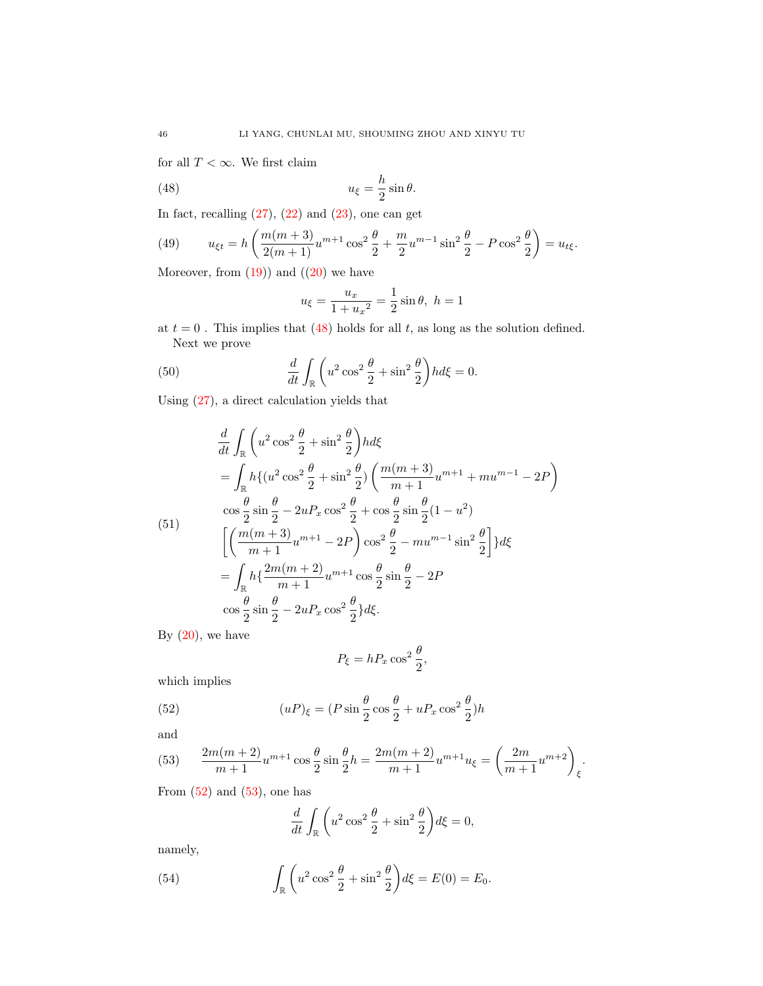for all  $T<\infty.$  We first claim

(48) 
$$
u_{\xi} = \frac{h}{2}\sin\theta.
$$

In fact, recalling  $(27)$ ,  $(22)$  and  $(23)$ , one can get

(49) 
$$
u_{\xi t} = h \left( \frac{m(m+3)}{2(m+1)} u^{m+1} \cos^2 \frac{\theta}{2} + \frac{m}{2} u^{m-1} \sin^2 \frac{\theta}{2} - P \cos^2 \frac{\theta}{2} \right) = u_{t\xi}.
$$

Moreover, from  $(19)$ ) and  $((20)$  $((20)$  we have

<span id="page-9-0"></span>
$$
u_{\xi} = \frac{u_x}{1 + u_x^2} = \frac{1}{2} \sin \theta, \ h = 1
$$

at  $t = 0$ . This implies that [\(48\)](#page-9-0) holds for all t, as long as the solution defined. Next we prove

(50) 
$$
\frac{d}{dt} \int_{\mathbb{R}} \left( u^2 \cos^2 \frac{\theta}{2} + \sin^2 \frac{\theta}{2} \right) h d\xi = 0.
$$

Using [\(27\)](#page-5-1), a direct calculation yields that

$$
\frac{d}{dt} \int_{\mathbb{R}} \left( u^2 \cos^2 \frac{\theta}{2} + \sin^2 \frac{\theta}{2} \right) h d\xi
$$
\n
$$
= \int_{\mathbb{R}} h \{ (u^2 \cos^2 \frac{\theta}{2} + \sin^2 \frac{\theta}{2}) \left( \frac{m(m+3)}{m+1} u^{m+1} + m u^{m-1} - 2P \right)
$$
\n
$$
\cos \frac{\theta}{2} \sin \frac{\theta}{2} - 2u P_x \cos^2 \frac{\theta}{2} + \cos \frac{\theta}{2} \sin \frac{\theta}{2} (1 - u^2)
$$
\n
$$
\left[ \left( \frac{m(m+3)}{m+1} u^{m+1} - 2P \right) \cos^2 \frac{\theta}{2} - m u^{m-1} \sin^2 \frac{\theta}{2} \right] \} d\xi
$$
\n
$$
= \int_{\mathbb{R}} h \{ \frac{2m(m+2)}{m+1} u^{m+1} \cos \frac{\theta}{2} \sin \frac{\theta}{2} - 2P
$$
\n
$$
\cos \frac{\theta}{2} \sin \frac{\theta}{2} - 2u P_x \cos^2 \frac{\theta}{2} \} d\xi.
$$

By  $(20)$ , we have

<span id="page-9-1"></span>
$$
P_{\xi}=hP_{x}\cos^{2}\frac{\theta}{2},
$$

which implies

(52) 
$$
(uP)_{\xi} = (P\sin\frac{\theta}{2}\cos\frac{\theta}{2} + uP_x\cos^2\frac{\theta}{2})h
$$

and

<span id="page-9-2"></span>(53) 
$$
\frac{2m(m+2)}{m+1}u^{m+1}\cos\frac{\theta}{2}\sin\frac{\theta}{2}h = \frac{2m(m+2)}{m+1}u^{m+1}u_{\xi} = \left(\frac{2m}{m+1}u^{m+2}\right)_{\xi}.
$$

From  $(52)$  and  $(53)$ , one has

$$
\frac{d}{dt} \int_{\mathbb{R}} \left( u^2 \cos^2 \frac{\theta}{2} + \sin^2 \frac{\theta}{2} \right) d\xi = 0,
$$

namely,

<span id="page-9-3"></span>(54) 
$$
\int_{\mathbb{R}} \left( u^2 \cos^2 \frac{\theta}{2} + \sin^2 \frac{\theta}{2} \right) d\xi = E(0) = E_0.
$$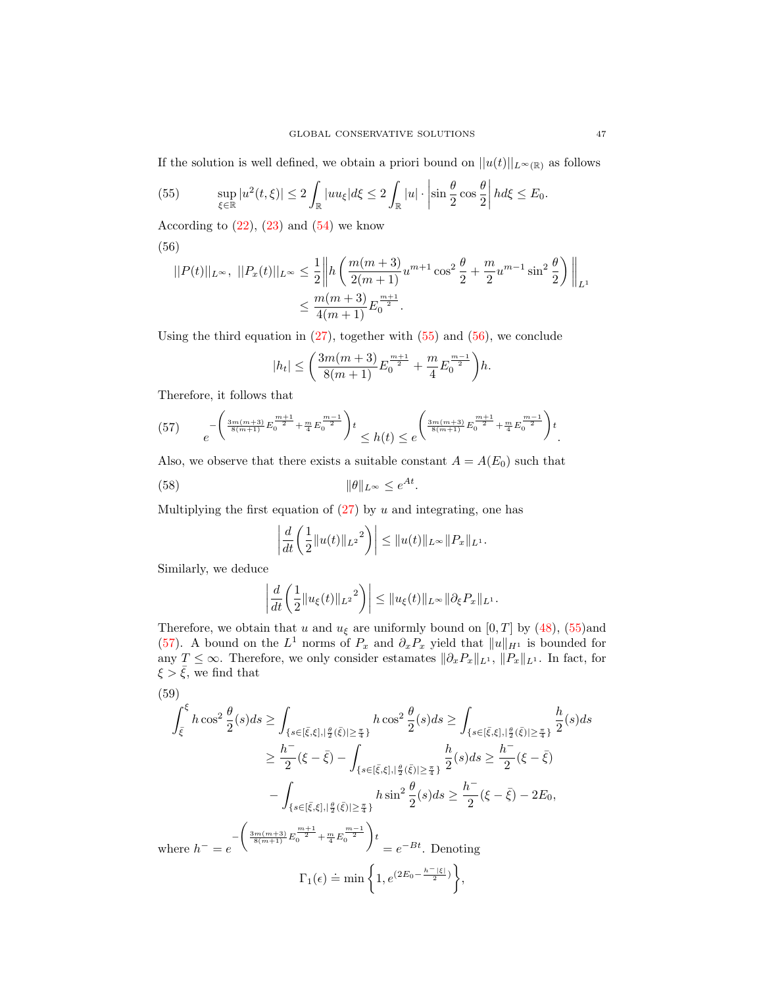If the solution is well defined, we obtain a priori bound on  $||u(t)||_{L^{\infty}(\mathbb{R})}$  as follows

<span id="page-10-0"></span>(55) 
$$
\sup_{\xi \in \mathbb{R}} |u^2(t,\xi)| \leq 2 \int_{\mathbb{R}} |uu_{\xi}| d\xi \leq 2 \int_{\mathbb{R}} |u| \cdot \left| \sin \frac{\theta}{2} \cos \frac{\theta}{2} \right| h d\xi \leq E_0.
$$

According to  $(22)$ ,  $(23)$  and  $(54)$  we know

$$
(56)
$$

<span id="page-10-1"></span>
$$
||P(t)||_{L^{\infty}}, ||P_x(t)||_{L^{\infty}} \le \frac{1}{2} \left\| h\left(\frac{m(m+3)}{2(m+1)}u^{m+1}\cos^2\frac{\theta}{2} + \frac{m}{2}u^{m-1}\sin^2\frac{\theta}{2}\right) \right\|_{L^1}
$$
  

$$
\le \frac{m(m+3)}{4(m+1)}E_0^{\frac{m+1}{2}}.
$$

Using the third equation in  $(27)$ , together with  $(55)$  and  $(56)$ , we conclude

$$
|h_t| \le \left(\frac{3m(m+3)}{8(m+1)}E_0^{\frac{m+1}{2}} + \frac{m}{4}E_0^{\frac{m-1}{2}}\right)h.
$$

Therefore, it follows that

<span id="page-10-2"></span>
$$
(57) \qquad e^{-\left(\frac{3m(m+3)}{8(m+1)}E_0^{\frac{m+1}{2}} + \frac{m}{4}E_0^{\frac{m-1}{2}}\right)t} \le h(t) \le e^{\left(\frac{3m(m+3)}{8(m+1)}E_0^{\frac{m+1}{2}} + \frac{m}{4}E_0^{\frac{m-1}{2}}\right)t}.
$$

Also, we observe that there exists a suitable constant  $A = A(E_0)$  such that

(58) 
$$
\|\theta\|_{L^{\infty}} \leq e^{At}.
$$

Multiplying the first equation of  $(27)$  by u and integrating, one has

$$
\left|\frac{d}{dt}\left(\frac{1}{2}\|u(t)\|_{L^2}^2\right)\right| \leq \|u(t)\|_{L^\infty} \|P_x\|_{L^1}.
$$

Similarly, we deduce

$$
\left| \frac{d}{dt} \left( \frac{1}{2} ||u_{\xi}(t)||_{L^2}^2 \right) \right| \leq ||u_{\xi}(t)||_{L^\infty} ||\partial_{\xi} P_x||_{L^1}.
$$

Therefore, we obtain that u and  $u_{\xi}$  are uniformly bound on [0, T] by [\(48\)](#page-9-0), [\(55\)](#page-10-0)and [\(57\)](#page-10-2). A bound on the  $L^1$  norms of  $P_x$  and  $\partial_x P_x$  yield that  $||u||_{H^1}$  is bounded for any  $T \leq \infty$ . Therefore, we only consider estamates  $\|\partial_x P_x\|_{L^1}$ ,  $\|P_x\|_{L^1}$ . In fact, for  $\xi > \bar{\xi}$ , we find that

(59)  
\n
$$
\int_{\bar{\xi}}^{\xi} h \cos^2 \frac{\theta}{2} (s) ds \ge \int_{\{s \in [\bar{\xi}, \xi], |\frac{\theta}{2}(\bar{\xi})| \ge \frac{\pi}{4}\}} h \cos^2 \frac{\theta}{2} (s) ds \ge \int_{\{s \in [\bar{\xi}, \xi], |\frac{\theta}{2}(\bar{\xi})| \ge \frac{\pi}{4}\}} \frac{h}{2} (s) ds
$$
\n
$$
\ge \frac{h^-}{2} (\xi - \bar{\xi}) - \int_{\{s \in [\bar{\xi}, \xi], |\frac{\theta}{2}(\bar{\xi})| \ge \frac{\pi}{4}\}} \frac{h}{2} (s) ds \ge \frac{h^-}{2} (\xi - \bar{\xi})
$$
\n
$$
- \int_{\{s \in [\bar{\xi}, \xi], |\frac{\theta}{2}(\bar{\xi})| \ge \frac{\pi}{4}\}} h \sin^2 \frac{\theta}{2} (s) ds \ge \frac{h^-}{2} (\xi - \bar{\xi}) - 2E_0,
$$
\nwhere  $h^- = e^{-\left(\frac{3m(m+3)}{8(m+1)} E_0^{\frac{m+1}{2}} + \frac{m}{4} E_0^{\frac{m-1}{2}}\right)t} = e^{-Bt}$ . Denoting\n
$$
\Gamma_1(\epsilon) \doteq \min \left\{ 1, e^{(2E_0 - \frac{h^- |\xi|}{2})} \right\},
$$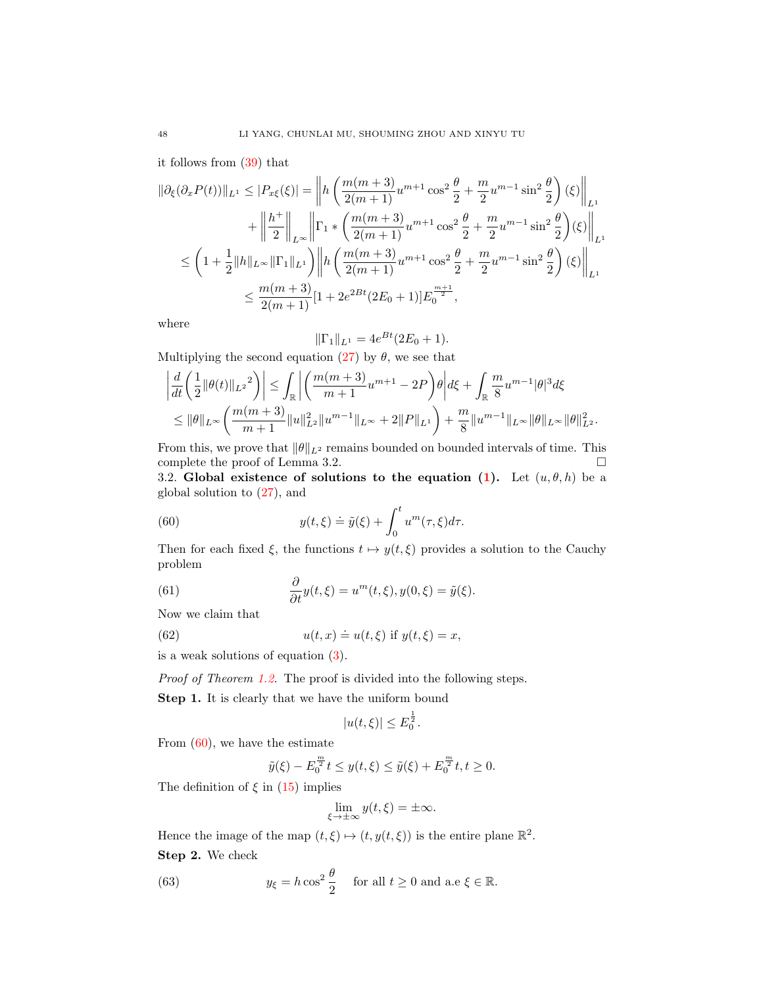it follows from [\(39\)](#page-7-1) that

$$
\begin{split} \|\partial_{\xi}(\partial_{x}P(t))\|_{L^{1}} &\leq |P_{x\xi}(\xi)| = \left\|h\left(\frac{m(m+3)}{2(m+1)}u^{m+1}\cos^{2}\frac{\theta}{2} + \frac{m}{2}u^{m-1}\sin^{2}\frac{\theta}{2}\right)(\xi)\right\|_{L^{1}} \\ &+ \left\|\frac{h^{+}}{2}\right\|_{L^{\infty}} \left\|\Gamma_{1}*\left(\frac{m(m+3)}{2(m+1)}u^{m+1}\cos^{2}\frac{\theta}{2} + \frac{m}{2}u^{m-1}\sin^{2}\frac{\theta}{2}\right)(\xi)\right\|_{L^{1}} \\ &\leq \left(1 + \frac{1}{2}\|h\|_{L^{\infty}}\|\Gamma_{1}\|_{L^{1}}\right) \left\|h\left(\frac{m(m+3)}{2(m+1)}u^{m+1}\cos^{2}\frac{\theta}{2} + \frac{m}{2}u^{m-1}\sin^{2}\frac{\theta}{2}\right)(\xi)\right\|_{L^{1}} \\ &\leq \frac{m(m+3)}{2(m+1)}[1 + 2e^{2Bt}(2E_{0} + 1)]E_{0}^{\frac{m+1}{2}}, \end{split}
$$

where

$$
\|\Gamma_1\|_{L^1} = 4e^{Bt}(2E_0 + 1).
$$

Multiplying the second equation [\(27\)](#page-5-1) by  $\theta$ , we see that

$$
\left| \frac{d}{dt} \left( \frac{1}{2} \| \theta(t) \|_{L^2}^2 \right) \right| \leq \int_{\mathbb{R}} \left| \left( \frac{m(m+3)}{m+1} u^{m+1} - 2P \right) \theta \right| d\xi + \int_{\mathbb{R}} \frac{m}{8} u^{m-1} |\theta|^3 d\xi
$$
  

$$
\leq ||\theta||_{L^{\infty}} \left( \frac{m(m+3)}{m+1} \| u \|_{L^2}^2 \| u^{m-1} \|_{L^{\infty}} + 2 ||P||_{L^1} \right) + \frac{m}{8} \| u^{m-1} \|_{L^{\infty}} ||\theta||_{L^{\infty}} ||\theta||_{L^2}^2.
$$

From this, we prove that  $\|\theta\|_{L^2}$  remains bounded on bounded intervals of time. This complete the proof of Lemma 3.2. □

3.2. Global existence of solutions to the equation [\(1\)](#page-0-0). Let  $(u, \theta, h)$  be a global solution to [\(27\)](#page-5-1), and

(60) 
$$
y(t,\xi) \doteq \tilde{y}(\xi) + \int_0^t u^m(\tau,\xi) d\tau.
$$

Then for each fixed  $\xi$ , the functions  $t \mapsto y(t, \xi)$  provides a solution to the Cauchy problem

(61) 
$$
\frac{\partial}{\partial t}y(t,\xi) = u^m(t,\xi), y(0,\xi) = \tilde{y}(\xi).
$$

Now we claim that

 $(62)$ 

<span id="page-11-0"></span>
$$
u(t, x) \doteq u(t, \xi) \text{ if } y(t, \xi) = x,
$$

is a weak solutions of equation [\(3\)](#page-1-0).

Proof of Theorem [1.2.](#page-2-0) The proof is divided into the following steps.

Step 1. It is clearly that we have the uniform bound

$$
|u(t,\xi)| \le E_0^{\frac{1}{2}}.
$$

From  $(60)$ , we have the estimate

$$
\tilde{y}(\xi) - E_0^{\frac{m}{2}} t \le y(t, \xi) \le \tilde{y}(\xi) + E_0^{\frac{m}{2}} t, t \ge 0.
$$

The definition of  $\xi$  in [\(15\)](#page-4-7) implies

<span id="page-11-1"></span>
$$
\lim_{\xi \to \pm \infty} y(t, \xi) = \pm \infty.
$$

Hence the image of the map  $(t, \xi) \mapsto (t, y(t, \xi))$  is the entire plane  $\mathbb{R}^2$ . Step 2. We check

(63) 
$$
y_{\xi} = h \cos^2 \frac{\theta}{2}
$$
 for all  $t \ge 0$  and a.e  $\xi \in \mathbb{R}$ .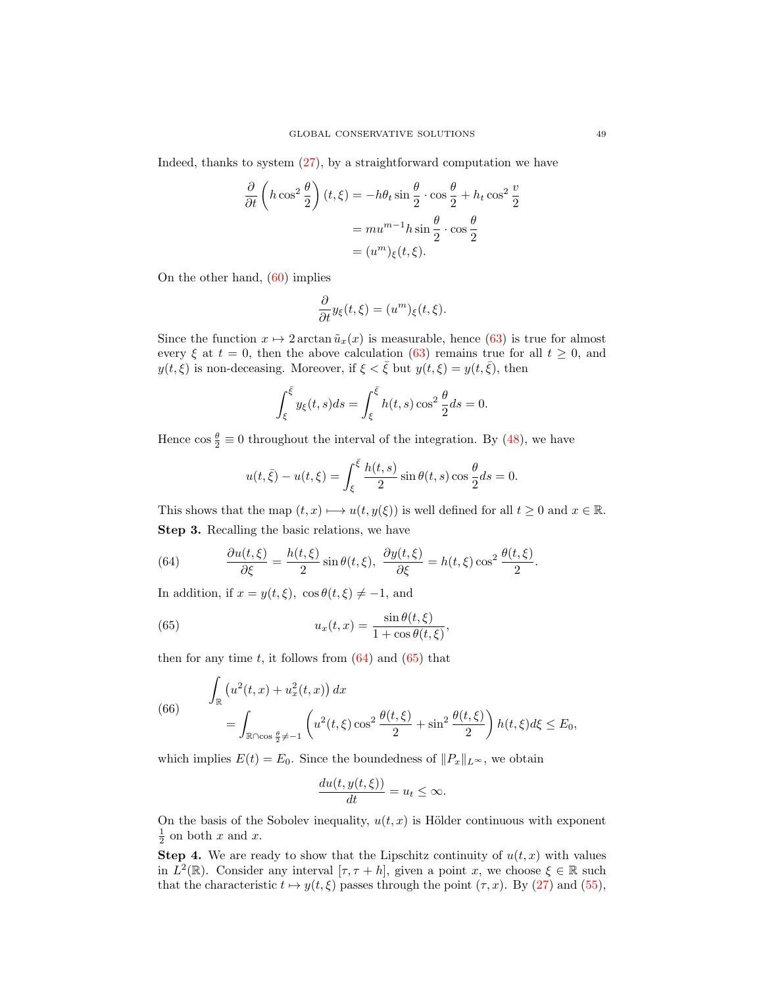Indeed, thanks to system [\(27\)](#page-5-1), by a straightforward computation we have

$$
\frac{\partial}{\partial t} \left( h \cos^2 \frac{\theta}{2} \right) (t, \xi) = -h\theta_t \sin \frac{\theta}{2} \cdot \cos \frac{\theta}{2} + h_t \cos^2 \frac{\theta}{2}
$$

$$
= mu^{m-1}h \sin \frac{\theta}{2} \cdot \cos \frac{\theta}{2}
$$

$$
= (u^m)_{\xi}(t, \xi).
$$

On the other hand, [\(60\)](#page-11-0) implies

$$
\frac{\partial}{\partial t}y_{\xi}(t,\xi)=(u^{m})_{\xi}(t,\xi).
$$

Since the function  $x \mapsto 2 \arctan \tilde{u}_x(x)$  is measurable, hence [\(63\)](#page-11-1) is true for almost every  $\xi$  at  $t = 0$ , then the above calculation [\(63\)](#page-11-1) remains true for all  $t \geq 0$ , and  $y(t,\xi)$  is non-deceasing. Moreover, if  $\xi < \overline{\xi}$  but  $y(t,\xi) = y(t,\overline{\xi})$ , then

$$
\int_{\xi}^{\overline{\xi}} y_{\xi}(t,s)ds = \int_{\xi}^{\overline{\xi}} h(t,s) \cos^2 \frac{\theta}{2} ds = 0.
$$

Hence  $\cos \frac{\theta}{2} \equiv 0$  throughout the interval of the integration. By [\(48\)](#page-9-0), we have

$$
u(t, \bar{\xi}) - u(t, \xi) = \int_{\xi}^{\bar{\xi}} \frac{h(t, s)}{2} \sin \theta(t, s) \cos \frac{\theta}{2} ds = 0.
$$

This shows that the map  $(t, x) \mapsto u(t, y(\xi))$  is well defined for all  $t \geq 0$  and  $x \in \mathbb{R}$ . Step 3. Recalling the basic relations, we have

<span id="page-12-0"></span>(64) 
$$
\frac{\partial u(t,\xi)}{\partial \xi} = \frac{h(t,\xi)}{2} \sin \theta(t,\xi), \ \frac{\partial y(t,\xi)}{\partial \xi} = h(t,\xi) \cos^2 \frac{\theta(t,\xi)}{2}.
$$

In addition, if  $x = y(t, \xi)$ ,  $\cos \theta(t, \xi) \neq -1$ , and

<span id="page-12-1"></span>(65) 
$$
u_x(t,x) = \frac{\sin \theta(t,\xi)}{1 + \cos \theta(t,\xi)},
$$

then for any time t, it follows from  $(64)$  and  $(65)$  that

(66) 
$$
\int_{\mathbb{R}} \left( u^{2}(t,x) + u_{x}^{2}(t,x) \right) dx = \int_{\mathbb{R} \cap \cos \frac{\theta}{2} \neq -1} \left( u^{2}(t,\xi) \cos^{2} \frac{\theta(t,\xi)}{2} + \sin^{2} \frac{\theta(t,\xi)}{2} \right) h(t,\xi) d\xi \leq E_{0},
$$

which implies  $E(t) = E_0$ . Since the boundedness of  $||P_x||_{L^{\infty}}$ , we obtain

$$
\frac{du(t, y(t, \xi))}{dt} = u_t \le \infty.
$$

On the basis of the Sobolev inequality,  $u(t, x)$  is Hölder continuous with exponent  $\frac{1}{2}$  on both x and x.

**Step 4.** We are ready to show that the Lipschitz continuity of  $u(t, x)$  with values in  $L^2(\mathbb{R})$ . Consider any interval  $[\tau, \tau + h]$ , given a point x, we choose  $\xi \in \mathbb{R}$  such that the characteristic  $t \mapsto y(t, \xi)$  passes through the point  $(\tau, x)$ . By [\(27\)](#page-5-1) and [\(55\)](#page-10-0),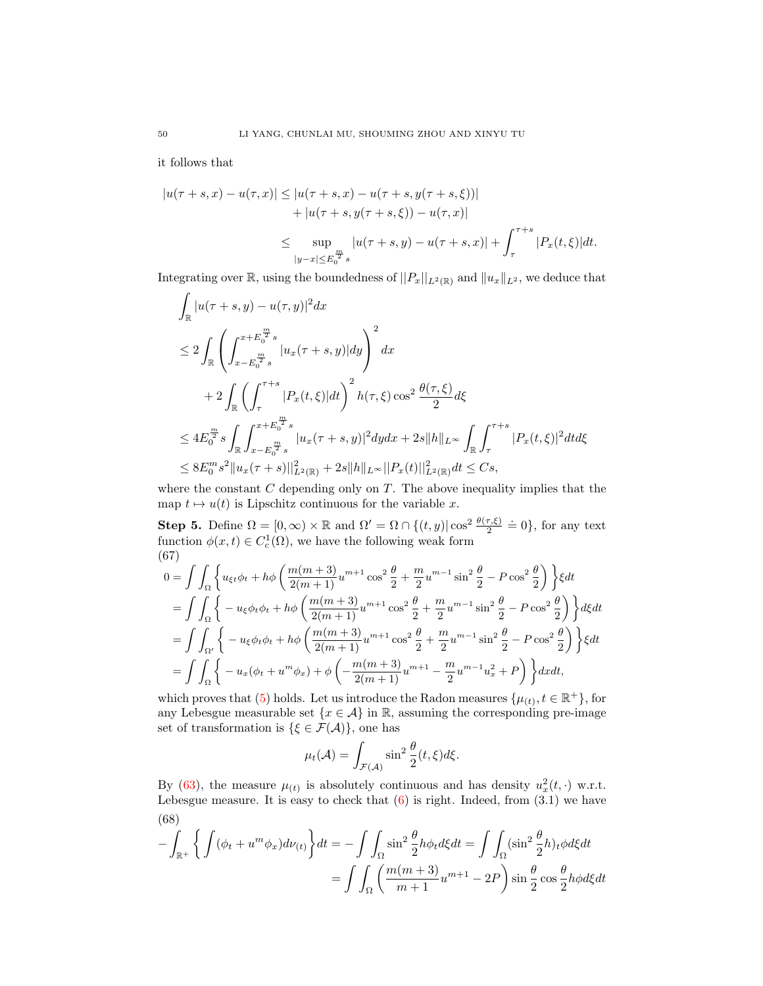it follows that

$$
|u(\tau+s,x) - u(\tau,x)| \le |u(\tau+s,x) - u(\tau+s,y(\tau+s,\xi))|
$$
  
+ |u(\tau+s,y(\tau+s,\xi)) - u(\tau,x)|  

$$
\le \sup_{|y-x| \le E_0^{\frac{m}{2}}s} |u(\tau+s,y) - u(\tau+s,x)| + \int_{\tau}^{\tau+s} |P_x(t,\xi)|dt.
$$

Integrating over R, using the boundedness of  $||P_x||_{L^2(\mathbb{R})}$  and  $||u_x||_{L^2}$ , we deduce that

$$
\int_{\mathbb{R}} |u(\tau+s,y) - u(\tau,y)|^2 dx
$$
\n
$$
\leq 2 \int_{\mathbb{R}} \left( \int_{x-E_0^{\frac{m}{2}}s}^{x+E_0^{\frac{m}{2}}s} |u_x(\tau+s,y)| dy \right)^2 dx
$$
\n
$$
+ 2 \int_{\mathbb{R}} \left( \int_{\tau}^{\tau+s} |P_x(t,\xi)| dt \right)^2 h(\tau,\xi) \cos^2 \frac{\theta(\tau,\xi)}{2} d\xi
$$
\n
$$
\leq 4 E_0^{\frac{m}{2}} s \int_{\mathbb{R}} \int_{x-E_0^{\frac{m}{2}}s}^{x+E_0^{\frac{m}{2}}s} |u_x(\tau+s,y)|^2 dy dx + 2s ||h||_{L^{\infty}} \int_{\mathbb{R}} \int_{\tau}^{\tau+s} |P_x(t,\xi)|^2 dt d\xi
$$
\n
$$
\leq 8 E_0^m s^2 ||u_x(\tau+s)||_{L^2(\mathbb{R})}^2 + 2s ||h||_{L^{\infty}} ||P_x(t)||_{L^2(\mathbb{R})}^2 dt \leq Cs,
$$

where the constant  $C$  depending only on  $T$ . The above inequality implies that the map  $t \mapsto u(t)$  is Lipschitz continuous for the variable x.

**Step 5.** Define  $\Omega = [0, \infty) \times \mathbb{R}$  and  $\Omega' = \Omega \cap \{(t, y) | \cos^2 \frac{\theta(\tau, \xi)}{2} \doteq 0\}$ , for any text function  $\phi(x,t) \in C_c^1(\Omega)$ , we have the following weak form (67)

$$
0 = \int \int_{\Omega} \left\{ u_{\xi t} \phi_t + h \phi \left( \frac{m(m+3)}{2(m+1)} u^{m+1} \cos^2 \frac{\theta}{2} + \frac{m}{2} u^{m-1} \sin^2 \frac{\theta}{2} - P \cos^2 \frac{\theta}{2} \right) \right\} \xi dt
$$
  
\n
$$
= \int \int_{\Omega} \left\{ -u_{\xi} \phi_t \phi_t + h \phi \left( \frac{m(m+3)}{2(m+1)} u^{m+1} \cos^2 \frac{\theta}{2} + \frac{m}{2} u^{m-1} \sin^2 \frac{\theta}{2} - P \cos^2 \frac{\theta}{2} \right) \right\} d\xi dt
$$
  
\n
$$
= \int \int_{\Omega'} \left\{ -u_{\xi} \phi_t \phi_t + h \phi \left( \frac{m(m+3)}{2(m+1)} u^{m+1} \cos^2 \frac{\theta}{2} + \frac{m}{2} u^{m-1} \sin^2 \frac{\theta}{2} - P \cos^2 \frac{\theta}{2} \right) \right\} \xi dt
$$
  
\n
$$
= \int \int_{\Omega} \left\{ -u_x (\phi_t + u^m \phi_x) + \phi \left( -\frac{m(m+3)}{2(m+1)} u^{m+1} - \frac{m}{2} u^{m-1} u_x^2 + P \right) \right\} dx dt,
$$

which proves that [\(5\)](#page-2-1) holds. Let us introduce the Radon measures  $\{\mu_{(t)}, t \in \mathbb{R}^+\}$ , for any Lebesgue measurable set  $\{x \in \mathcal{A}\}\$ in R, assuming the corresponding pre-image set of transformation is  $\{\xi \in \mathcal{F}(\mathcal{A})\}$ , one has

$$
\mu_t(\mathcal{A}) = \int_{\mathcal{F}(\mathcal{A})} \sin^2 \frac{\theta}{2} (t, \xi) d\xi.
$$

By [\(63\)](#page-11-1), the measure  $\mu(t)$  is absolutely continuous and has density  $u_x^2(t, \cdot)$  w.r.t. Lebesgue measure. It is easy to check that  $(6)$  is right. Indeed, from  $(3.1)$  we have (68)

$$
-\int_{\mathbb{R}^+} \left\{ \int (\phi_t + u^m \phi_x) d\nu(t) \right\} dt = -\int \int_{\Omega} \sin^2 \frac{\theta}{2} h \phi_t d\xi dt = \int \int_{\Omega} (\sin^2 \frac{\theta}{2} h)_t \phi d\xi dt
$$

$$
= \int \int_{\Omega} \left( \frac{m(m+3)}{m+1} u^{m+1} - 2P \right) \sin \frac{\theta}{2} \cos \frac{\theta}{2} h \phi d\xi dt
$$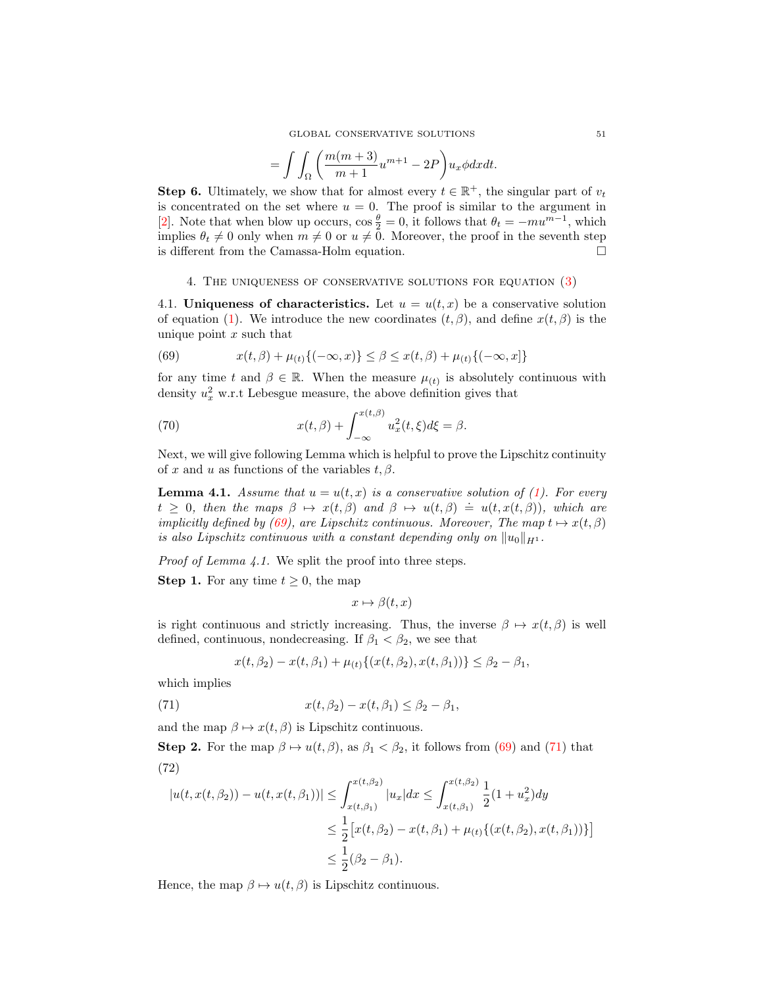$$
= \int \int_{\Omega} \bigg( \frac{m(m+3)}{m+1} u^{m+1} - 2P \bigg) u_x \phi dx dt.
$$

**Step 6.** Ultimately, we show that for almost every  $t \in \mathbb{R}^+$ , the singular part of  $v_t$ is concentrated on the set where  $u = 0$ . The proof is similar to the argument in [\[2\]](#page-29-13). Note that when blow up occurs,  $\cos \frac{\theta}{2} = 0$ , it follows that  $\theta_t = -mu^{m-1}$ , which implies  $\theta_t \neq 0$  only when  $m \neq 0$  or  $u \neq 0$ . Moreover, the proof in the seventh step is different from the Camassa-Holm equation.

## 4. The uniqueness of conservative solutions for equation [\(3\)](#page-1-0)

<span id="page-14-0"></span>4.1. Uniqueness of characteristics. Let  $u = u(t, x)$  be a conservative solution of equation [\(1\)](#page-0-0). We introduce the new coordinates  $(t, \beta)$ , and define  $x(t, \beta)$  is the unique point  $x$  such that

<span id="page-14-1"></span>(69) 
$$
x(t, \beta) + \mu_{(t)}\{(-\infty, x)\} \leq \beta \leq x(t, \beta) + \mu_{(t)}\{(-\infty, x]\}
$$

for any time t and  $\beta \in \mathbb{R}$ . When the measure  $\mu_{(t)}$  is absolutely continuous with density  $u_x^2$  w.r.t Lebesgue measure, the above definition gives that

(70) 
$$
x(t,\beta) + \int_{-\infty}^{x(t,\beta)} u_x^2(t,\xi) d\xi = \beta.
$$

Next, we will give following Lemma which is helpful to prove the Lipschitz continuity of x and u as functions of the variables  $t, \beta$ .

**Lemma 4.1.** Assume that  $u = u(t, x)$  is a conservative solution of [\(1\)](#page-0-0). For every **EXECUTE:** THE THEORGET TEXT TO EXECUTE THE MELTING THEORGET TEXT  $t \geq 0$ , then the maps  $\beta \mapsto x(t, \beta)$  and  $\beta \mapsto u(t, \beta) = u(t, x(t, \beta))$ , which are implicitly defined by [\(69\)](#page-14-1), are Lipschitz continuous. Moreover, The map  $t \mapsto x(t, \beta)$ is also Lipschitz continuous with a constant depending only on  $||u_0||_{H^1}$ .

Proof of Lemma 4.1. We split the proof into three steps.

**Step 1.** For any time  $t \geq 0$ , the map

 $x \mapsto \beta(t, x)$ 

is right continuous and strictly increasing. Thus, the inverse  $\beta \mapsto x(t, \beta)$  is well defined, continuous, nondecreasing. If  $\beta_1 < \beta_2$ , we see that

<span id="page-14-2"></span>
$$
x(t, \beta_2) - x(t, \beta_1) + \mu_{(t)} \{ (x(t, \beta_2), x(t, \beta_1)) \} \le \beta_2 - \beta_1,
$$

which implies

(71) 
$$
x(t, \beta_2) - x(t, \beta_1) \leq \beta_2 - \beta_1,
$$

and the map  $\beta \mapsto x(t, \beta)$  is Lipschitz continuous.

**Step 2.** For the map  $\beta \mapsto u(t, \beta)$ , as  $\beta_1 < \beta_2$ , it follows from [\(69\)](#page-14-1) and [\(71\)](#page-14-2) that (72)

<span id="page-14-3"></span>
$$
|u(t, x(t, \beta_2)) - u(t, x(t, \beta_1))| \le \int_{x(t, \beta_1)}^{x(t, \beta_2)} |u_x| dx \le \int_{x(t, \beta_1)}^{x(t, \beta_2)} \frac{1}{2} (1 + u_x^2) dy
$$
  

$$
\le \frac{1}{2} [x(t, \beta_2) - x(t, \beta_1) + \mu_{(t)} \{ (x(t, \beta_2), x(t, \beta_1)) \} ]
$$
  

$$
\le \frac{1}{2} (\beta_2 - \beta_1).
$$

Hence, the map  $\beta \mapsto u(t, \beta)$  is Lipschitz continuous.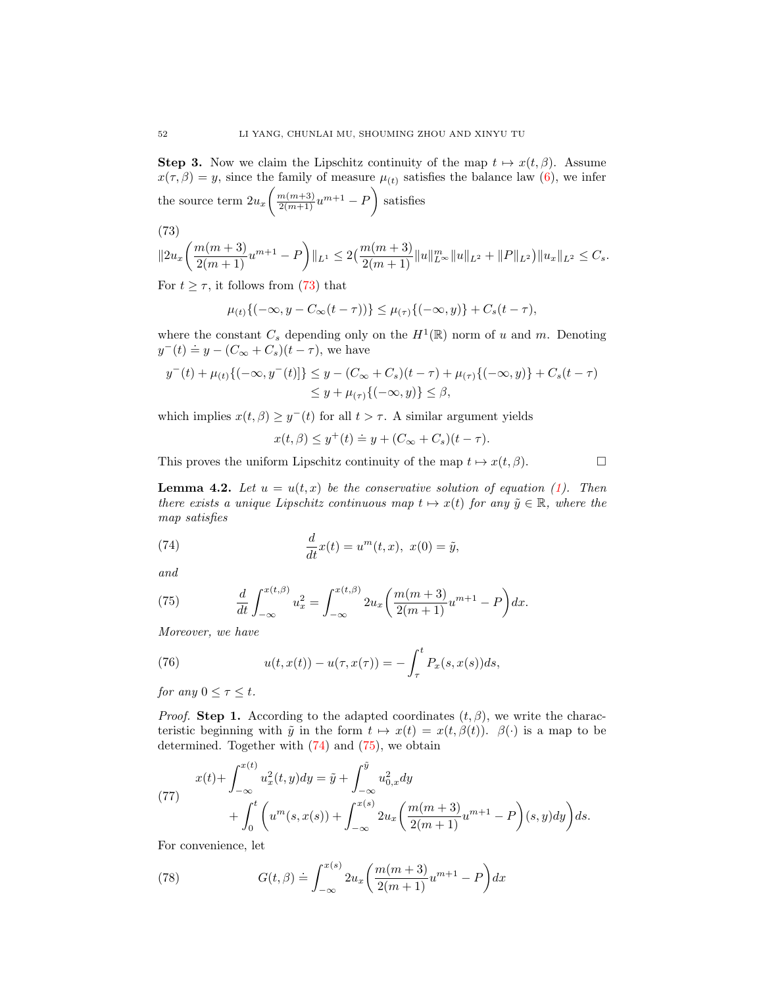**Step 3.** Now we claim the Lipschitz continuity of the map  $t \mapsto x(t, \beta)$ . Assume  $x(\tau, \beta) = y$ , since the family of measure  $\mu(t)$  satisfies the balance law [\(6\)](#page-2-2), we infer the source term  $2u_x\left(\frac{m(m+3)}{2(m+1)}u^{m+1}-P\right)$  satisfies

(73)

<span id="page-15-0"></span>
$$
||2u_x\left(\frac{m(m+3)}{2(m+1)}u^{m+1}-P\right)||_{L^1}\leq 2\left(\frac{m(m+3)}{2(m+1)}||u||_{L^{\infty}}^m||u||_{L^2}+||P||_{L^2}\right)||u_x||_{L^2}\leq C_s.
$$

For  $t \geq \tau$ , it follows from [\(73\)](#page-15-0) that

$$
\mu_{(t)}\{(-\infty, y - C_{\infty}(t-\tau))\} \leq \mu_{(\tau)}\{(-\infty, y)\} + C_s(t-\tau),
$$

where the constant  $C_s$  depending only on the  $H^1(\mathbb{R})$  norm of u and m. Denoting where the constant  $C_s$  depending only<br>  $y^-(t) \doteq y - (C_{\infty} + C_s)(t - \tau)$ , we have

$$
y^-(t) + \mu_{(t)}\{(-\infty, y^-(t)]\} \le y - (C_{\infty} + C_s)(t - \tau) + \mu_{(\tau)}\{(-\infty, y)\} + C_s(t - \tau)
$$
  

$$
\le y + \mu_{(\tau)}\{(-\infty, y)\} \le \beta,
$$

which implies  $x(t, \beta) \geq y^{-}(t)$  for all  $t > \tau$ . A similar argument yields

$$
x(t, \beta) \le y^+(t) \doteq y + (C_{\infty} + C_s)(t - \tau).
$$

This proves the uniform Lipschitz continuity of the map  $t \mapsto x(t, \beta)$ .

**Lemma 4.2.** Let  $u = u(t, x)$  be the conservative solution of equation [\(1\)](#page-0-0). Then there exists a unique Lipschitz continuous map  $t \mapsto x(t)$  for any  $\tilde{y} \in \mathbb{R}$ , where the map satisfies

<span id="page-15-1"></span>(74) 
$$
\frac{d}{dt}x(t) = u^{m}(t, x), \ x(0) = \tilde{y},
$$

and

<span id="page-15-2"></span>(75) 
$$
\frac{d}{dt} \int_{-\infty}^{x(t,\beta)} u_x^2 = \int_{-\infty}^{x(t,\beta)} 2u_x \left( \frac{m(m+3)}{2(m+1)} u^{m+1} - P \right) dx.
$$

Moreover, we have

<span id="page-15-5"></span>(76) 
$$
u(t, x(t)) - u(\tau, x(\tau)) = -\int_{\tau}^{t} P_x(s, x(s))ds,
$$

for any  $0 \leq \tau \leq t$ .

*Proof.* Step 1. According to the adapted coordinates  $(t, \beta)$ , we write the characteristic beginning with  $\tilde{y}$  in the form  $t \mapsto x(t) = x(t, \beta(t))$ .  $\beta(\cdot)$  is a map to be determined. Together with [\(74\)](#page-15-1) and [\(75\)](#page-15-2), we obtain

<span id="page-15-3"></span>(77) 
$$
x(t) + \int_{-\infty}^{x(t)} u_x^2(t, y) dy = \tilde{y} + \int_{-\infty}^{\tilde{y}} u_{0,x}^2 dy + \int_0^t \left( u^m(s, x(s)) + \int_{-\infty}^{x(s)} 2u_x \left( \frac{m(m+3)}{2(m+1)} u^{m+1} - P \right) (s, y) dy \right) ds.
$$

For convenience, let

<span id="page-15-4"></span>(78) 
$$
G(t, \beta) \doteq \int_{-\infty}^{x(s)} 2u_x \left( \frac{m(m+3)}{2(m+1)} u^{m+1} - P \right) dx
$$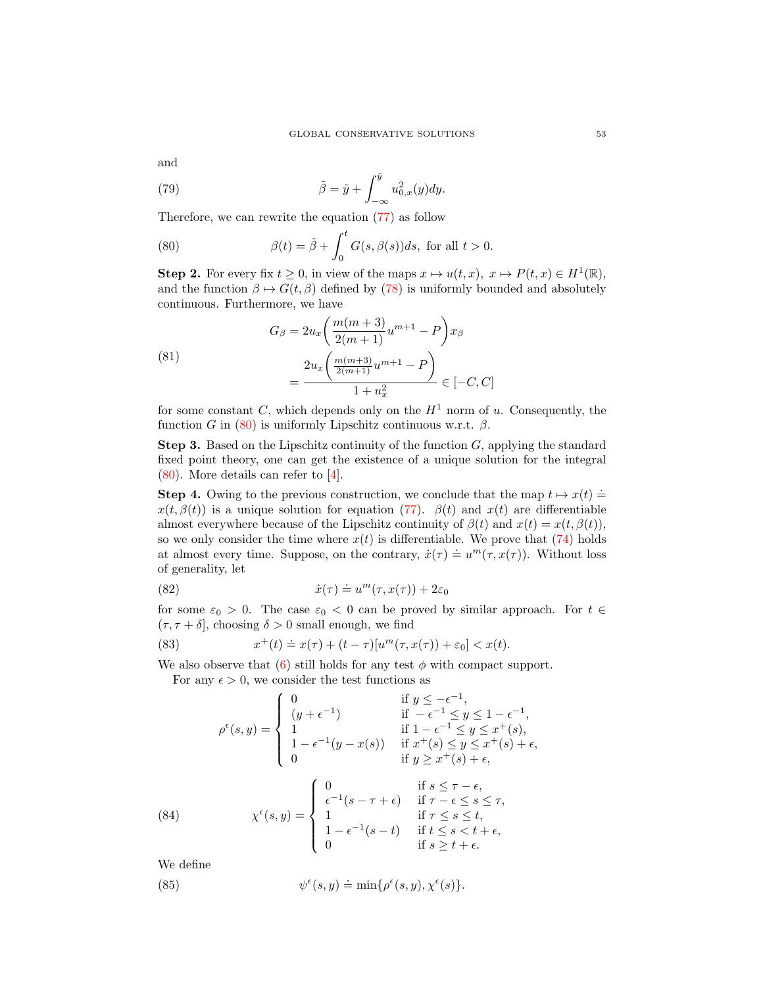and

(79) 
$$
\tilde{\beta} = \tilde{y} + \int_{-\infty}^{\tilde{y}} u_{0,x}^2(y) dy.
$$

Therefore, we can rewrite the equation [\(77\)](#page-15-3) as follow

<span id="page-16-0"></span>(80) 
$$
\beta(t) = \tilde{\beta} + \int_0^t G(s, \beta(s))ds, \text{ for all } t > 0.
$$

**Step 2.** For every fix  $t \geq 0$ , in view of the maps  $x \mapsto u(t, x)$ ,  $x \mapsto P(t, x) \in H^1(\mathbb{R})$ , and the function  $\beta \mapsto G(t, \beta)$  defined by [\(78\)](#page-15-4) is uniformly bounded and absolutely continuous. Furthermore, we have

(81)  

$$
G_{\beta} = 2u_x \left( \frac{m(m+3)}{2(m+1)} u^{m+1} - P \right) x_{\beta}
$$

$$
= \frac{2u_x \left( \frac{m(m+3)}{2(m+1)} u^{m+1} - P \right)}{1 + u_x^2} \in [-C, C]
$$

for some constant C, which depends only on the  $H<sup>1</sup>$  norm of u. Consequently, the function G in [\(80\)](#page-16-0) is uniformly Lipschitz continuous w.r.t.  $\beta$ .

**Step 3.** Based on the Lipschitz continuity of the function  $G$ , applying the standard fixed point theory, one can get the existence of a unique solution for the integral [\(80\)](#page-16-0). More details can refer to [\[4\]](#page-29-15).

**Step 4.** Owing to the previous construction, we conclude that the map  $t \mapsto x(t) =$  $x(t, \beta(t))$  is a unique solution for equation [\(77\)](#page-15-3).  $\beta(t)$  and  $x(t)$  are differentiable almost everywhere because of the Lipschitz continuity of  $\beta(t)$  and  $x(t) = x(t, \beta(t))$ , so we only consider the time where  $x(t)$  is differentiable. We prove that [\(74\)](#page-15-1) holds at almost every time. Suppose, on the contrary,  $\dot{x}(\tau) \doteq u^m(\tau, x(\tau))$ . Without loss of generality, let

(82) 
$$
\dot{x}(\tau) \doteq u^m(\tau, x(\tau)) + 2\varepsilon_0
$$

for some  $\varepsilon_0 > 0$ . The case  $\varepsilon_0 < 0$  can be proved by similar approach. For  $t \in$  $(\tau, \tau + \delta]$ , choosing  $\delta > 0$  small enough, we find

(83) 
$$
x^+(t) \doteq x(\tau) + (t - \tau)[u^m(\tau, x(\tau)) + \varepsilon_0] < x(t).
$$

We also observe that [\(6\)](#page-2-2) still holds for any test  $\phi$  with compact support.

For any  $\epsilon > 0$ , we consider the test functions as

(84) 
$$
\rho^{\epsilon}(s, y) = \begin{cases}\n0 & \text{if } y \leq -\epsilon^{-1}, \\
(y + \epsilon^{-1}) & \text{if } -\epsilon^{-1} \leq y \leq 1 - \epsilon^{-1}, \\
1 & \text{if } 1 - \epsilon^{-1} \leq y \leq x^{+}(s), \\
1 - \epsilon^{-1}(y - x(s)) & \text{if } x^{+}(s) \leq y \leq x^{+}(s) + \epsilon, \\
0 & \text{if } y \geq x^{+}(s) + \epsilon,\n\end{cases}
$$
\n(84) 
$$
\chi^{\epsilon}(s, y) = \begin{cases}\n0 & \text{if } s \leq \tau - \epsilon, \\
\epsilon^{-1}(s - \tau + \epsilon) & \text{if } \tau - \epsilon \leq s \leq \tau, \\
1 - \epsilon^{-1}(s - t) & \text{if } t \leq s < t + \epsilon, \\
0 & \text{if } s \geq t + \epsilon.\n\end{cases}
$$

<span id="page-16-1"></span>We define

(85) 
$$
\psi^{\epsilon}(s, y) \doteq \min \{ \rho^{\epsilon}(s, y), \chi^{\epsilon}(s) \}.
$$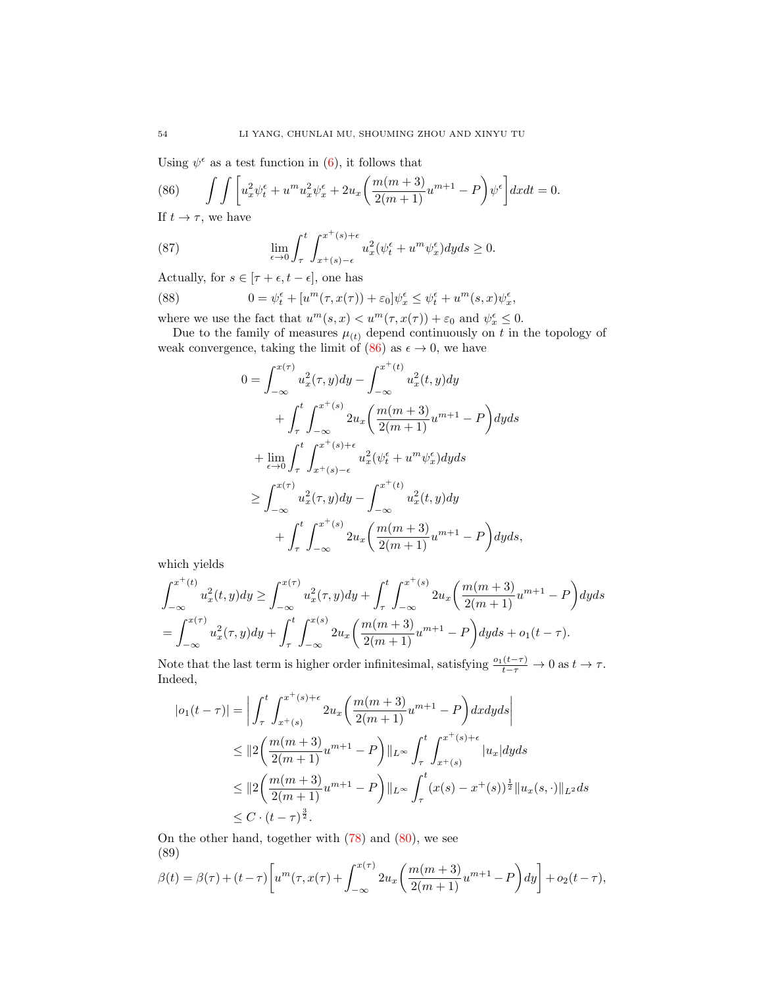Using  $\psi^{\epsilon}$  as a test function in [\(6\)](#page-2-2), it follows that

<span id="page-17-0"></span>(86) 
$$
\int \int \left[ u_x^2 \psi_t^{\epsilon} + u^m u_x^2 \psi_x^{\epsilon} + 2u_x \left( \frac{m(m+3)}{2(m+1)} u^{m+1} - P \right) \psi^{\epsilon} \right] dx dt = 0.
$$

If  $t \to \tau$ , we have

(87) 
$$
\lim_{\epsilon \to 0} \int_{\tau}^{t} \int_{x^+(s)-\epsilon}^{x^+(s)+\epsilon} u_x^2(\psi_t^{\epsilon} + u^m \psi_x^{\epsilon}) dy ds \ge 0.
$$

Actually, for  $s \in [\tau + \epsilon, t - \epsilon],$  one has

(88) 
$$
0 = \psi_t^{\epsilon} + [u^m(\tau, x(\tau)) + \varepsilon_0] \psi_x^{\epsilon} \leq \psi_t^{\epsilon} + u^m(s, x) \psi_x^{\epsilon},
$$

where we use the fact that  $u^m(s, x) < u^m(\tau, x(\tau)) + \varepsilon_0$  and  $\psi_x^{\epsilon} \leq 0$ .

Due to the family of measures  $\mu_{(t)}$  depend continuously on t in the topology of weak convergence, taking the limit of  $(86)$  as  $\epsilon \to 0$ , we have

$$
0 = \int_{-\infty}^{x(\tau)} u_x^2(\tau, y) dy - \int_{-\infty}^{x^+(t)} u_x^2(t, y) dy
$$
  
+ 
$$
\int_{\tau}^{t} \int_{-\infty}^{x^+(s)} 2u_x \left( \frac{m(m+3)}{2(m+1)} u^{m+1} - P \right) dy ds
$$
  
+ 
$$
\lim_{\epsilon \to 0} \int_{\tau}^{t} \int_{x^+(s)-\epsilon}^{x^+(s)+\epsilon} u_x^2(\psi_t^{\epsilon} + u^m \psi_x^{\epsilon}) dy ds
$$
  

$$
\geq \int_{-\infty}^{x(\tau)} u_x^2(\tau, y) dy - \int_{-\infty}^{x^+(t)} u_x^2(t, y) dy
$$
  
+ 
$$
\int_{\tau}^{t} \int_{-\infty}^{x^+(s)} 2u_x \left( \frac{m(m+3)}{2(m+1)} u^{m+1} - P \right) dy ds,
$$

which yields

$$
\int_{-\infty}^{x^+(t)} u_x^2(t, y) dy \ge \int_{-\infty}^{x(\tau)} u_x^2(\tau, y) dy + \int_{\tau}^t \int_{-\infty}^{x^+(s)} 2u_x \left( \frac{m(m+3)}{2(m+1)} u^{m+1} - P \right) dy ds
$$
  
= 
$$
\int_{-\infty}^{x(\tau)} u_x^2(\tau, y) dy + \int_{\tau}^t \int_{-\infty}^{x(s)} 2u_x \left( \frac{m(m+3)}{2(m+1)} u^{m+1} - P \right) dy ds + o_1(t - \tau).
$$

Note that the last term is higher order infinitesimal, satisfying  $\frac{o_1(t-\tau)}{t-\tau} \to 0$  as  $t \to \tau$ . Indeed,

$$
|o_1(t-\tau)| = \left| \int_{\tau}^{t} \int_{x+(s)}^{x^+(s)+\epsilon} 2u_x \left( \frac{m(m+3)}{2(m+1)} u^{m+1} - P \right) dx dy ds \right|
$$
  
\n
$$
\leq ||2 \left( \frac{m(m+3)}{2(m+1)} u^{m+1} - P \right) ||_{L^{\infty}} \int_{\tau}^{t} \int_{x+(s)}^{x^+(s)+\epsilon} |u_x| dy ds
$$
  
\n
$$
\leq ||2 \left( \frac{m(m+3)}{2(m+1)} u^{m+1} - P \right) ||_{L^{\infty}} \int_{\tau}^{t} (x(s) - x^+(s))^{\frac{1}{2}} ||u_x(s, \cdot)||_{L^2} ds
$$
  
\n
$$
\leq C \cdot (t - \tau)^{\frac{3}{2}}.
$$

On the other hand, together with  $(78)$  and  $(80)$ , we see (89)

<span id="page-17-1"></span>
$$
\beta(t) = \beta(\tau) + (t - \tau) \left[ u^m(\tau, x(\tau) + \int_{-\infty}^{x(\tau)} 2u_x \left( \frac{m(m+3)}{2(m+1)} u^{m+1} - P \right) dy \right] + o_2(t - \tau),
$$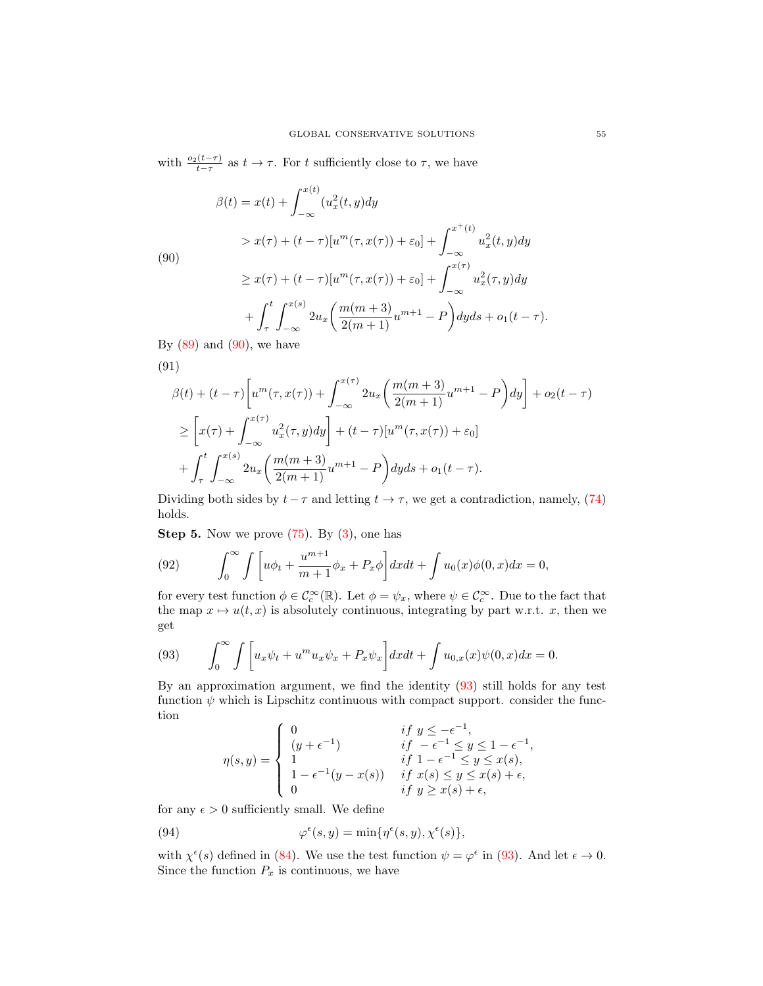with  $\frac{o_2(t-\tau)}{t-\tau}$  as  $t \to \tau$ . For t sufficiently close to  $\tau$ , we have

<span id="page-18-0"></span>
$$
\beta(t) = x(t) + \int_{-\infty}^{x(t)} (u_x^2(t, y) dy
$$
  
\n
$$
> x(\tau) + (t - \tau)[u^m(\tau, x(\tau)) + \varepsilon_0] + \int_{-\infty}^{x^+(t)} u_x^2(t, y) dy
$$
  
\n
$$
\geq x(\tau) + (t - \tau)[u^m(\tau, x(\tau)) + \varepsilon_0] + \int_{-\infty}^{x(\tau)} u_x^2(\tau, y) dy
$$
  
\n
$$
+ \int_{\tau}^t \int_{-\infty}^{x(s)} 2u_x \left( \frac{m(m+3)}{2(m+1)} u^{m+1} - P \right) dy ds + o_1(t - \tau).
$$

By  $(89)$  and  $(90)$ , we have

(91)  
\n
$$
\beta(t) + (t - \tau) \left[ u^m(\tau, x(\tau)) + \int_{-\infty}^{x(\tau)} 2u_x \left( \frac{m(m+3)}{2(m+1)} u^{m+1} - P \right) dy \right] + o_2(t - \tau)
$$
\n
$$
\geq \left[ x(\tau) + \int_{-\infty}^{x(\tau)} u_x^2(\tau, y) dy \right] + (t - \tau) \left[ u^m(\tau, x(\tau)) + \varepsilon_0 \right]
$$
\n
$$
+ \int_{\tau}^t \int_{-\infty}^{x(s)} 2u_x \left( \frac{m(m+3)}{2(m+1)} u^{m+1} - P \right) dy ds + o_1(t - \tau).
$$
\nDividing both sides by  $t$ ,  $\tau$  and letting  $t$  is a contradiction, namely. (7)

Dividing both sides by  $t - \tau$  and letting  $t \to \tau$ , we get a contradiction, namely, [\(74\)](#page-15-1) holds.

**Step 5.** Now we prove  $(75)$ . By  $(3)$ , one has

(92) 
$$
\int_0^\infty \int \left[ u\phi_t + \frac{u^{m+1}}{m+1} \phi_x + P_x \phi \right] dx dt + \int u_0(x)\phi(0, x) dx = 0,
$$

for every test function  $\phi \in \mathcal{C}_c^{\infty}(\mathbb{R})$ . Let  $\phi = \psi_x$ , where  $\psi \in \mathcal{C}_c^{\infty}$ . Due to the fact that the map  $x \mapsto u(t, x)$  is absolutely continuous, integrating by part w.r.t. x, then we get

<span id="page-18-1"></span>(93) 
$$
\int_0^\infty \int \left[ u_x \psi_t + u^m u_x \psi_x + P_x \psi_x \right] dx dt + \int u_{0,x}(x) \psi(0, x) dx = 0.
$$

By an approximation argument, we find the identity [\(93\)](#page-18-1) still holds for any test function  $\psi$  which is Lipschitz continuous with compact support. consider the function  $\lambda$ −1

$$
\eta(s,y) = \begin{cases}\n0 & \text{if } y \le -\epsilon^{-1}, \\
(y+\epsilon^{-1}) & \text{if } -\epsilon^{-1} \le y \le 1-\epsilon^{-1}, \\
1 & \text{if } 1-\epsilon^{-1} \le y \le x(s), \\
1-\epsilon^{-1}(y-x(s)) & \text{if } x(s) \le y \le x(s)+\epsilon, \\
0 & \text{if } y \ge x(s)+\epsilon,\n\end{cases}
$$

for any  $\epsilon > 0$  sufficiently small. We define

(94) 
$$
\varphi^{\epsilon}(s, y) = \min \{ \eta^{\epsilon}(s, y), \chi^{\epsilon}(s) \},
$$

with  $\chi^{\epsilon}(s)$  defined in [\(84\)](#page-16-1). We use the test function  $\psi = \varphi^{\epsilon}$  in [\(93\)](#page-18-1). And let  $\epsilon \to 0$ . Since the function  $P_x$  is continuous, we have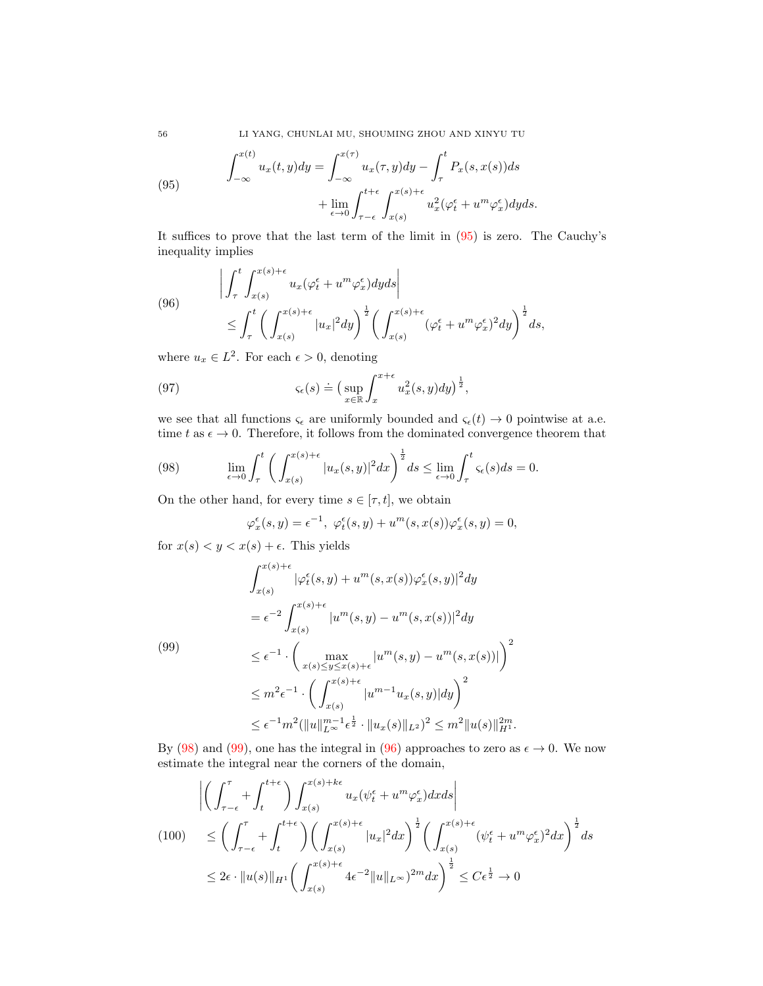56 LI YANG, CHUNLAI MU, SHOUMING ZHOU AND XINYU TU

<span id="page-19-0"></span>(95) 
$$
\int_{-\infty}^{x(t)} u_x(t, y) dy = \int_{-\infty}^{x(\tau)} u_x(\tau, y) dy - \int_{\tau}^{t} P_x(s, x(s)) ds + \lim_{\epsilon \to 0} \int_{\tau-\epsilon}^{t+\epsilon} \int_{x(s)}^{x(s)+\epsilon} u_x^2 (\varphi_t^{\epsilon} + u^m \varphi_x^{\epsilon}) dy ds.
$$

It suffices to prove that the last term of the limit in [\(95\)](#page-19-0) is zero. The Cauchy's inequality implies

<span id="page-19-3"></span>(96) 
$$
\left| \int_{\tau}^{t} \int_{x(s)}^{x(s)+\epsilon} u_x (\varphi_t^{\epsilon} + u^m \varphi_x^{\epsilon}) dy ds \right|
$$
  
 
$$
\leq \int_{\tau}^{t} \left( \int_{x(s)}^{x(s)+\epsilon} |u_x|^2 dy \right)^{\frac{1}{2}} \left( \int_{x(s)}^{x(s)+\epsilon} (\varphi_t^{\epsilon} + u^m \varphi_x^{\epsilon})^2 dy \right)^{\frac{1}{2}} ds,
$$

where  $u_x \in L^2$ . For each  $\epsilon > 0$ , denoting

(97) 
$$
\varsigma_{\epsilon}(s) \doteq \left(\sup_{x \in \mathbb{R}} \int_{x}^{x+\epsilon} u_x^2(s,y) dy\right)^{\frac{1}{2}},
$$

we see that all functions  $\varsigma_{\epsilon}$  are uniformly bounded and  $\varsigma_{\epsilon}(t) \to 0$  pointwise at a.e. time t as  $\epsilon \to 0$ . Therefore, it follows from the dominated convergence theorem that

(98) 
$$
\lim_{\epsilon \to 0} \int_{\tau}^{t} \left( \int_{x(s)}^{x(s)+\epsilon} |u_x(s,y)|^2 dx \right)^{\frac{1}{2}} ds \leq \lim_{\epsilon \to 0} \int_{\tau}^{t} \varsigma_{\epsilon}(s) ds = 0.
$$

On the other hand, for every time  $s \in [\tau, t]$ , we obtain

<span id="page-19-1"></span>
$$
\varphi_x^{\epsilon}(s,y) = \epsilon^{-1}, \ \varphi_t^{\epsilon}(s,y) + u^m(s,x(s))\varphi_x^{\epsilon}(s,y) = 0,
$$

for  $x(s) < y < x(s) + \epsilon$ . This yields

<span id="page-19-2"></span>
$$
\int_{x(s)}^{x(s)+\epsilon} |\varphi_t^{\epsilon}(s,y) + u^m(s,x(s))\varphi_x^{\epsilon}(s,y)|^2 dy
$$
\n
$$
= \epsilon^{-2} \int_{x(s)}^{x(s)+\epsilon} |u^m(s,y) - u^m(s,x(s))|^2 dy
$$
\n(99)\n
$$
\leq \epsilon^{-1} \cdot \left( \max_{x(s) \leq y \leq x(s)+\epsilon} |u^m(s,y) - u^m(s,x(s))| \right)^2
$$
\n
$$
\leq m^2 \epsilon^{-1} \cdot \left( \int_{x(s)}^{x(s)+\epsilon} |u^{m-1}u_x(s,y)| dy \right)^2
$$
\n
$$
\leq \epsilon^{-1} m^2 (\|u\|_{L^\infty}^{m-1} \epsilon^{\frac{1}{2}} \cdot \|u_x(s)\|_{L^2})^2 \leq m^2 \|u(s)\|_{H^1}^{2m}.
$$

By [\(98\)](#page-19-1) and [\(99\)](#page-19-2), one has the integral in [\(96\)](#page-19-3) approaches to zero as  $\epsilon \to 0$ . We now estimate the integral near the corners of the domain,

$$
\left| \left( \int_{\tau-\epsilon}^{\tau} + \int_{t}^{t+\epsilon} \right) \int_{x(s)}^{x(s)+k\epsilon} u_x(\psi_t^{\epsilon} + u^m \varphi_x^{\epsilon}) dx ds \right|
$$
  
(100) 
$$
\leq \left( \int_{\tau-\epsilon}^{\tau} + \int_{t}^{t+\epsilon} \right) \left( \int_{x(s)}^{x(s)+\epsilon} |u_x|^2 dx \right)^{\frac{1}{2}} \left( \int_{x(s)}^{x(s)+\epsilon} (\psi_t^{\epsilon} + u^m \varphi_x^{\epsilon})^2 dx \right)^{\frac{1}{2}} ds
$$
  

$$
\leq 2\epsilon \cdot \|u(s)\|_{H^1} \left( \int_{x(s)}^{x(s)+\epsilon} 4\epsilon^{-2} \|u\|_{L^{\infty}} \right)^{2m} dx \right)^{\frac{1}{2}} \leq C\epsilon^{\frac{1}{2}} \to 0
$$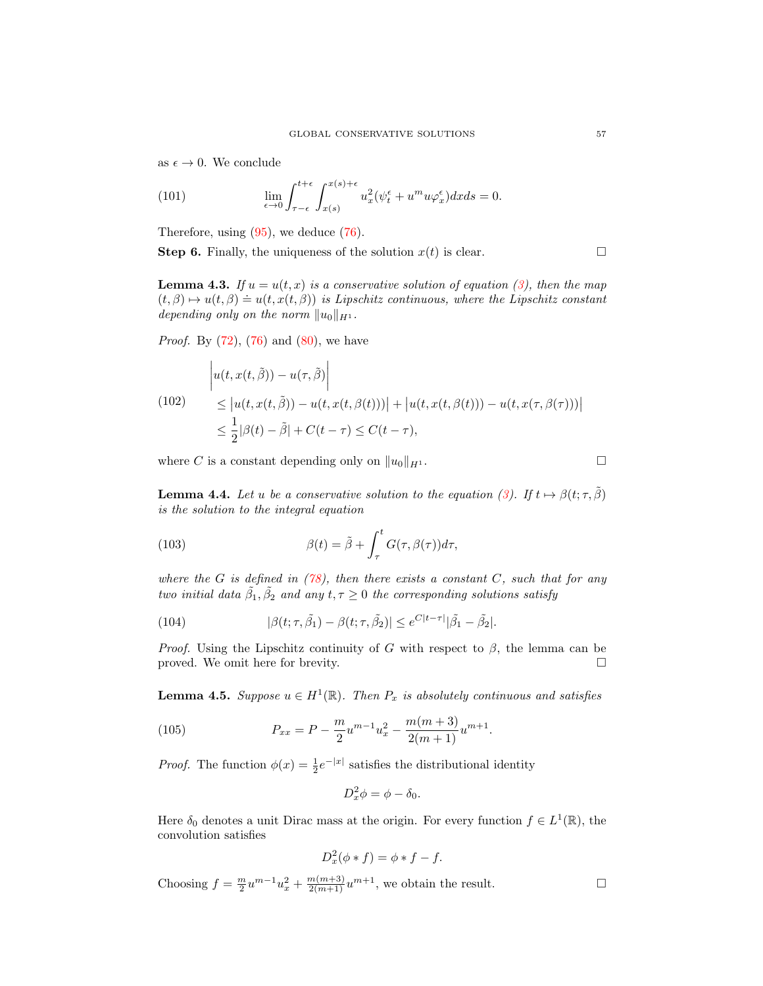as  $\epsilon \to 0$ . We conclude

(101) 
$$
\lim_{\epsilon \to 0} \int_{\tau-\epsilon}^{t+\epsilon} \int_{x(s)}^{x(s)+\epsilon} u_x^2(\psi_t^{\epsilon} + u^m u \varphi_x^{\epsilon}) dx ds = 0.
$$

Therefore, using  $(95)$ , we deduce  $(76)$ .

**Step 6.** Finally, the uniqueness of the solution  $x(t)$  is clear.

**Lemma 4.3.** If  $u = u(t, x)$  is a conservative solution of equation [\(3\)](#page-1-0), then the map **EXECUTE:**  $f(x, \beta) \mapsto u(t, \beta) = u(t, x(t, \beta))$  is Lipschitz continuous, where the Lipschitz constant depending only on the norm  $||u_0||_{H^1}$ .

*Proof.* By  $(72)$ ,  $(76)$  and  $(80)$ , we have

$$
\begin{aligned} \left| u(t, x(t, \tilde{\beta})) - u(\tau, \tilde{\beta}) \right| \\ &\leq \left| u(t, x(t, \tilde{\beta})) - u(t, x(t, \beta(t))) \right| + \left| u(t, x(t, \beta(t))) - u(t, x(\tau, \beta(\tau))) \right| \\ &\leq \frac{1}{2} |\beta(t) - \tilde{\beta}| + C(t - \tau) \leq C(t - \tau), \end{aligned}
$$

where C is a constant depending only on  $||u_0||_{H^1}$ .

**Lemma 4.4.** Let u be a conservative solution to the equation [\(3\)](#page-1-0). If  $t \mapsto \beta(t; \tau, \tilde{\beta})$ is the solution to the integral equation

<span id="page-20-0"></span>(103) 
$$
\beta(t) = \tilde{\beta} + \int_{\tau}^{t} G(\tau, \beta(\tau)) d\tau,
$$

where the G is defined in  $(78)$ , then there exists a constant C, such that for any two initial data  $\tilde{\beta}_1, \tilde{\beta}_2$  and any  $t, \tau \geq 0$  the corresponding solutions satisfy

(104) 
$$
|\beta(t;\tau,\tilde{\beta}_1) - \beta(t;\tau,\tilde{\beta}_2)| \leq e^{C|t-\tau|}|\tilde{\beta}_1 - \tilde{\beta}_2|.
$$

*Proof.* Using the Lipschitz continuity of G with respect to  $\beta$ , the lemma can be proved. We omit here for brevity.

**Lemma 4.5.** Suppose  $u \in H^1(\mathbb{R})$ . Then  $P_x$  is absolutely continuous and satisfies

(105) 
$$
P_{xx} = P - \frac{m}{2}u^{m-1}u_x^2 - \frac{m(m+3)}{2(m+1)}u^{m+1}.
$$

*Proof.* The function  $\phi(x) = \frac{1}{2}e^{-|x|}$  satisfies the distributional identity

$$
D_x^2 \phi = \phi - \delta_0.
$$

Here  $\delta_0$  denotes a unit Dirac mass at the origin. For every function  $f \in L^1(\mathbb{R})$ , the convolution satisfies

$$
D_x^2(\phi * f) = \phi * f - f.
$$

Choosing  $f = \frac{m}{2}u^{m-1}u_x^2 + \frac{m(m+3)}{2(m+1)}u^{m+1}$ , we obtain the result.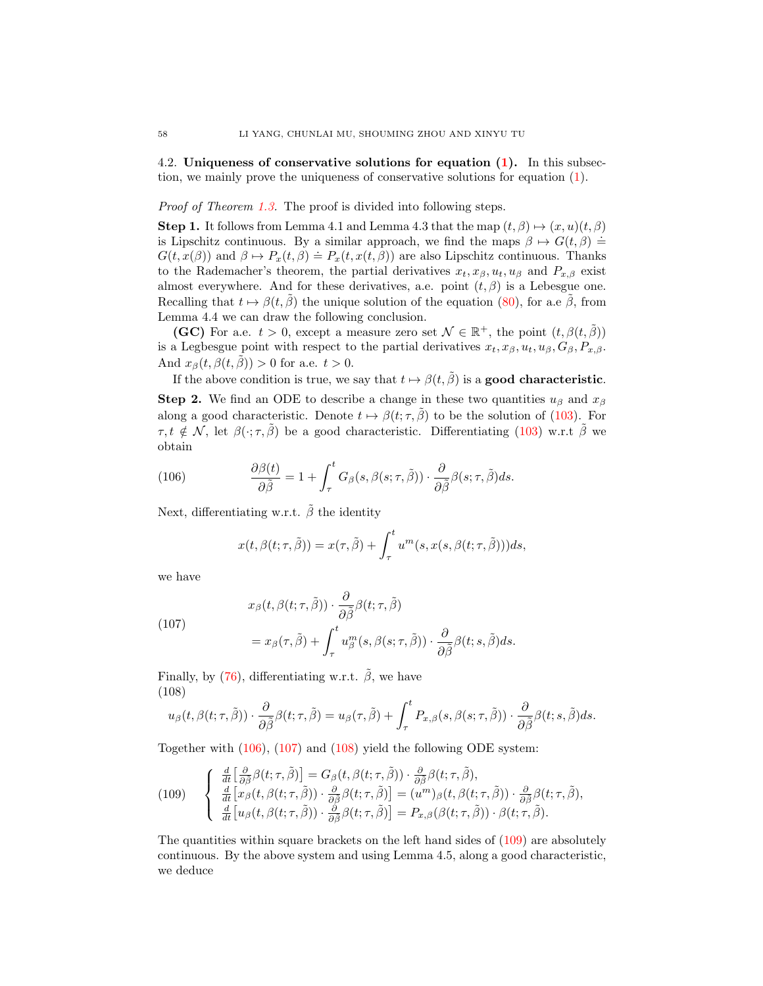4.2. Uniqueness of conservative solutions for equation [\(1\)](#page-0-0). In this subsection, we mainly prove the uniqueness of conservative solutions for equation [\(1\)](#page-0-0).

Proof of Theorem [1.3.](#page-2-3) The proof is divided into following steps.

**Step 1.** It follows from Lemma 4.1 and Lemma 4.3 that the map  $(t, \beta) \mapsto (x, u)(t, \beta)$ is Lipschitz continuous. By a similar approach, we find the maps  $\beta \mapsto G(t, \beta)$  =  $G(t, x(\beta))$  and  $\beta \mapsto P_x(t, \beta) \doteq P_x(t, x(t, \beta))$  are also Lipschitz continuous. Thanks to the Rademacher's theorem, the partial derivatives  $x_t, x_\beta, u_t, u_\beta$  and  $P_{x,\beta}$  exist almost everywhere. And for these derivatives, a.e. point  $(t, \beta)$  is a Lebesgue one. Recalling that  $t \mapsto \beta(t, \hat{\beta})$  the unique solution of the equation [\(80\)](#page-16-0), for a.e  $\hat{\beta}$ , from Lemma 4.4 we can draw the following conclusion.

(GC) For a.e.  $t > 0$ , except a measure zero set  $\mathcal{N} \in \mathbb{R}^+$ , the point  $(t, \beta(t, \tilde{\beta}))$ is a Legbesgue point with respect to the partial derivatives  $x_t, x_\beta, u_t, u_\beta, G_\beta, P_{x,\beta}$ . And  $x_{\beta}(t, \beta(t, \tilde{\beta})) > 0$  for a.e.  $t > 0$ .

If the above condition is true, we say that  $t \mapsto \beta(t, \tilde{\beta})$  is a **good characteristic.** 

Step 2. We find an ODE to describe a change in these two quantities  $u_{\beta}$  and  $x_{\beta}$ along a good characteristic. Denote  $t \mapsto \beta(t; \tau, \hat{\beta})$  to be the solution of [\(103\)](#page-20-0). For  $\tau, t \notin \mathcal{N}$ , let  $\beta(\cdot; \tau, \tilde{\beta})$  be a good characteristic. Differentiating [\(103\)](#page-20-0) w.r.t  $\tilde{\beta}$  we obtain

(106) 
$$
\frac{\partial \beta(t)}{\partial \tilde{\beta}} = 1 + \int_{\tau}^{t} G_{\beta}(s, \beta(s; \tau, \tilde{\beta})) \cdot \frac{\partial}{\partial \tilde{\beta}} \beta(s; \tau, \tilde{\beta}) ds.
$$

Next, differentiating w.r.t.  $\tilde{\beta}$  the identity

<span id="page-21-0"></span>
$$
x(t, \beta(t; \tau, \tilde{\beta})) = x(\tau, \tilde{\beta}) + \int_{\tau}^{t} u^{m}(s, x(s, \beta(t; \tau, \tilde{\beta})))ds,
$$

we have

<span id="page-21-1"></span>(107)  

$$
x_{\beta}(t, \beta(t; \tau, \tilde{\beta})) \cdot \frac{\partial}{\partial \tilde{\beta}} \beta(t; \tau, \tilde{\beta})
$$

$$
= x_{\beta}(\tau, \tilde{\beta}) + \int_{\tau}^{t} u_{\beta}^{m}(s, \beta(s; \tau, \tilde{\beta})) \cdot \frac{\partial}{\partial \tilde{\beta}} \beta(t; s, \tilde{\beta}) ds.
$$

Finally, by [\(76\)](#page-15-5), differentiating w.r.t.  $\tilde{\beta}$ , we have (108)

<span id="page-21-2"></span>
$$
u_{\beta}(t,\beta(t;\tau,\tilde{\beta}))\cdot\frac{\partial}{\partial\tilde{\beta}}\beta(t;\tau,\tilde{\beta})=u_{\beta}(\tau,\tilde{\beta})+\int_{\tau}^{t}P_{x,\beta}(s,\beta(s;\tau,\tilde{\beta}))\cdot\frac{\partial}{\partial\tilde{\beta}}\beta(t;s,\tilde{\beta})ds.
$$

Together with [\(106\)](#page-21-0), [\(107\)](#page-21-1) and [\(108\)](#page-21-2) yield the following ODE system:

<span id="page-21-3"></span>(109) 
$$
\begin{cases} \frac{d}{dt} \Big[ \frac{\partial}{\partial \tilde{\beta}} \beta(t; \tau, \tilde{\beta}) \Big] = G_{\beta}(t, \beta(t; \tau, \tilde{\beta})) \cdot \frac{\partial}{\partial \tilde{\beta}} \beta(t; \tau, \tilde{\beta}), \\ \frac{d}{dt} \Big[ x_{\beta}(t, \beta(t; \tau, \tilde{\beta})) \cdot \frac{\partial}{\partial \tilde{\beta}} \beta(t; \tau, \tilde{\beta}) \Big] = (u^{m})_{\beta}(t, \beta(t; \tau, \tilde{\beta})) \cdot \frac{\partial}{\partial \tilde{\beta}} \beta(t; \tau, \tilde{\beta}), \\ \frac{d}{dt} \Big[ u_{\beta}(t, \beta(t; \tau, \tilde{\beta})) \cdot \frac{\partial}{\partial \tilde{\beta}} \beta(t; \tau, \tilde{\beta}) \Big] = P_{x, \beta}(\beta(t; \tau, \tilde{\beta})) \cdot \beta(t; \tau, \tilde{\beta}). \end{cases}
$$

The quantities within square brackets on the left hand sides of [\(109\)](#page-21-3) are absolutely continuous. By the above system and using Lemma 4.5, along a good characteristic, we deduce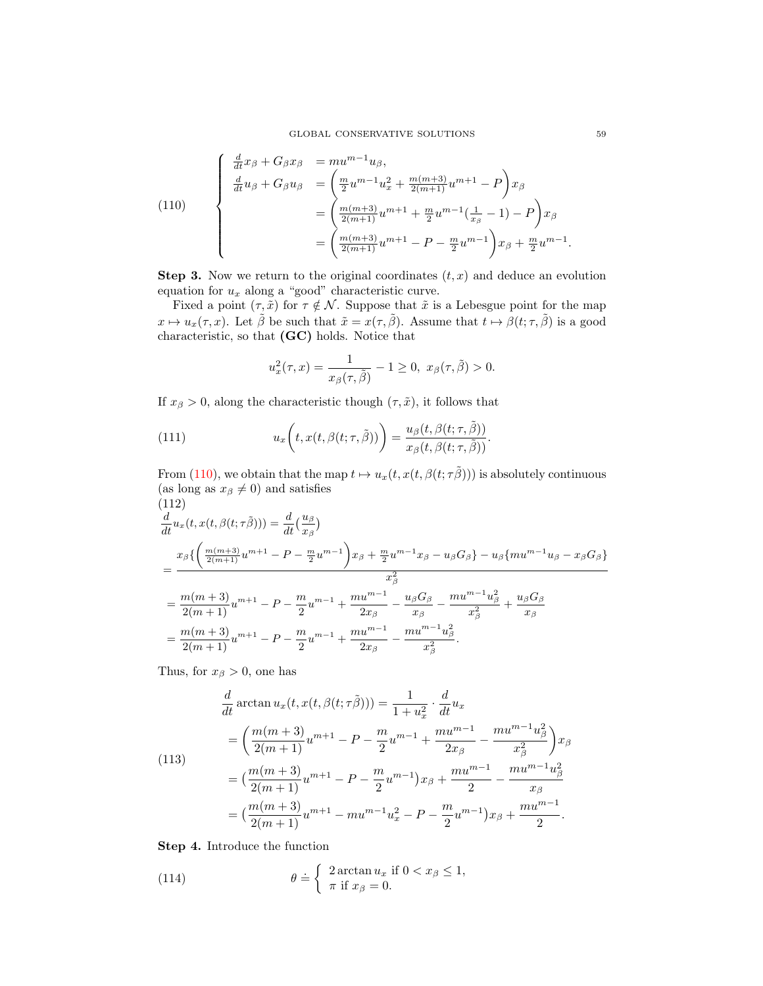<span id="page-22-0"></span>(110)  
\n
$$
\begin{cases}\n\frac{d}{dt}x_{\beta} + G_{\beta}x_{\beta} = mu^{m-1}u_{\beta}, \\
\frac{d}{dt}u_{\beta} + G_{\beta}u_{\beta} = \left(\frac{m}{2}u^{m-1}u_{x}^{2} + \frac{m(m+3)}{2(m+1)}u^{m+1} - P\right)x_{\beta} \\
= \left(\frac{m(m+3)}{2(m+1)}u^{m+1} + \frac{m}{2}u^{m-1}\left(\frac{1}{x_{\beta}} - 1\right) - P\right)x_{\beta} \\
= \left(\frac{m(m+3)}{2(m+1)}u^{m+1} - P - \frac{m}{2}u^{m-1}\right)x_{\beta} + \frac{m}{2}u^{m-1}.\n\end{cases}
$$

**Step 3.** Now we return to the original coordinates  $(t, x)$  and deduce an evolution equation for  $u_x$  along a "good" characteristic curve.

Fixed a point  $(\tau, \tilde{x})$  for  $\tau \notin \mathcal{N}$ . Suppose that  $\tilde{x}$  is a Lebesgue point for the map  $x \mapsto u_x(\tau, x)$ . Let  $\tilde{\beta}$  be such that  $\tilde{x} = x(\tau, \tilde{\beta})$ . Assume that  $t \mapsto \beta(t; \tau, \tilde{\beta})$  is a good characteristic, so that (GC) holds. Notice that

$$
u_x^2(\tau, x) = \frac{1}{x_\beta(\tau, \tilde{\beta})} - 1 \ge 0, \ x_\beta(\tau, \tilde{\beta}) > 0.
$$

If  $x_{\beta} > 0$ , along the characteristic though  $(\tau, \tilde{x})$ , it follows that

(111) 
$$
u_x\bigg(t, x(t, \beta(t; \tau, \tilde{\beta}))\bigg) = \frac{u_\beta(t, \beta(t; \tau, \tilde{\beta}))}{x_\beta(t, \beta(t; \tau, \tilde{\beta}))}.
$$

From [\(110\)](#page-22-0), we obtain that the map  $t \mapsto u_x(t, x(t, \beta(t; \tau \tilde{\beta})))$  is absolutely continuous (as long as  $x_{\beta} \neq 0$ ) and satisfies

$$
(112)
$$
\n
$$
\frac{d}{dt}u_x(t, x(t, \beta(t; \tau \tilde{\beta}))) = \frac{d}{dt}(\frac{u_{\beta}}{x_{\beta}})
$$
\n
$$
= \frac{x_{\beta}\left\{\left(\frac{m(m+3)}{2(m+1)}u^{m+1} - P - \frac{m}{2}u^{m-1}\right)x_{\beta} + \frac{m}{2}u^{m-1}x_{\beta} - u_{\beta}G_{\beta}\right\} - u_{\beta}\{mu^{m-1}u_{\beta} - x_{\beta}G_{\beta}\}}{x_{\beta}^{2}}
$$
\n
$$
= \frac{m(m+3)}{2(m+1)}u^{m+1} - P - \frac{m}{2}u^{m-1} + \frac{mu^{m-1}}{2x_{\beta}} - \frac{u_{\beta}G_{\beta}}{x_{\beta}} - \frac{mu^{m-1}u_{\beta}^{2}}{x_{\beta}^{2}} + \frac{u_{\beta}G_{\beta}}{x_{\beta}}
$$
\n
$$
= \frac{m(m+3)}{2(m+1)}u^{m+1} - P - \frac{m}{2}u^{m-1} + \frac{mu^{m-1}}{2x_{\beta}} - \frac{mu^{m-1}u_{\beta}^{2}}{x_{\beta}^{2}}.
$$

Thus, for  $x_\beta > 0$ , one has

<span id="page-22-1"></span>(113)  
\n
$$
\frac{d}{dt} \arctan u_x(t, x(t, \beta(t; \tau \tilde{\beta}))) = \frac{1}{1 + u_x^2} \cdot \frac{d}{dt} u_x
$$
\n
$$
= \left(\frac{m(m+3)}{2(m+1)} u^{m+1} - P - \frac{m}{2} u^{m-1} + \frac{m u^{m-1}}{2x_\beta} - \frac{m u^{m-1} u_\beta^2}{x_\beta^2}\right) x_\beta
$$
\n
$$
= \left(\frac{m(m+3)}{2(m+1)} u^{m+1} - P - \frac{m}{2} u^{m-1}\right) x_\beta + \frac{m u^{m-1}}{2} - \frac{m u^{m-1} u_\beta^2}{x_\beta}
$$
\n
$$
= \left(\frac{m(m+3)}{2(m+1)} u^{m+1} - m u^{m-1} u_x^2 - P - \frac{m}{2} u^{m-1}\right) x_\beta + \frac{m u^{m-1}}{2}.
$$

Step 4. Introduce the function

(114) 
$$
\theta = \begin{cases} 2 \arctan u_x & \text{if } 0 < x_\beta \leq 1, \\ \pi & \text{if } x_\beta = 0. \end{cases}
$$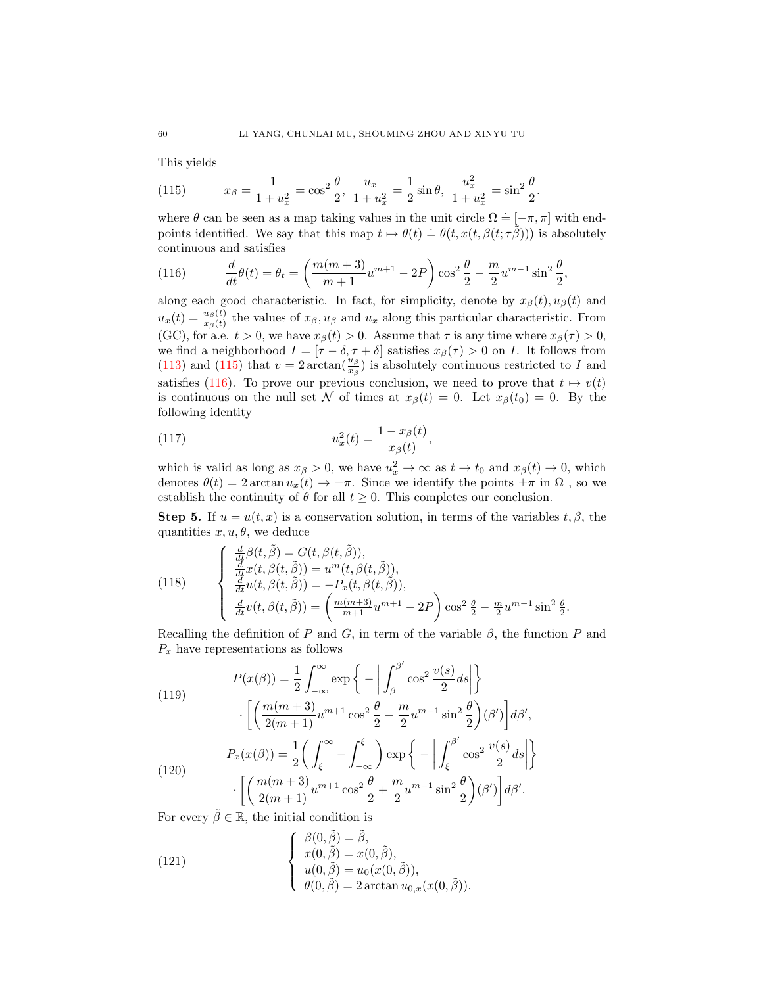This yields

<span id="page-23-0"></span>(115) 
$$
x_{\beta} = \frac{1}{1 + u_x^2} = \cos^2 \frac{\theta}{2}, \ \frac{u_x}{1 + u_x^2} = \frac{1}{2} \sin \theta, \ \frac{u_x^2}{1 + u_x^2} = \sin^2 \frac{\theta}{2}.
$$

where  $\theta$  can be seen as a map taking values in the unit circle  $\Omega = [-\pi, \pi]$  with endpoints identified. We say that this map  $t \mapsto \theta(t) \doteq \theta(t, x(t, \beta(t; \tau \tilde{\beta})))$  is absolutely continuous and satisfies

<span id="page-23-1"></span>(116) 
$$
\frac{d}{dt}\theta(t) = \theta_t = \left(\frac{m(m+3)}{m+1}u^{m+1} - 2P\right)\cos^2\frac{\theta}{2} - \frac{m}{2}u^{m-1}\sin^2\frac{\theta}{2},
$$

along each good characteristic. In fact, for simplicity, denote by  $x_{\beta}(t), u_{\beta}(t)$  and  $u_x(t) = \frac{u_\beta(t)}{x_\beta(t)}$  the values of  $x_\beta, u_\beta$  and  $u_x$  along this particular characteristic. From (GC), for a.e.  $t > 0$ , we have  $x_{\beta}(t) > 0$ . Assume that  $\tau$  is any time where  $x_{\beta}(\tau) > 0$ , we find a neighborhood  $I = [\tau - \delta, \tau + \delta]$  satisfies  $x_{\beta}(\tau) > 0$  on I. It follows from [\(113\)](#page-22-1) and [\(115\)](#page-23-0) that  $v = 2 \arctan(\frac{u_\beta}{x_\beta})$  is absolutely continuous restricted to I and satisfies [\(116\)](#page-23-1). To prove our previous conclusion, we need to prove that  $t \mapsto v(t)$ is continuous on the null set N of times at  $x_\beta(t) = 0$ . Let  $x_\beta(t_0) = 0$ . By the following identity

(117) 
$$
u_x^2(t) = \frac{1 - x_\beta(t)}{x_\beta(t)},
$$

which is valid as long as  $x_{\beta} > 0$ , we have  $u_x^2 \to \infty$  as  $t \to t_0$  and  $x_{\beta}(t) \to 0$ , which denotes  $\theta(t) = 2 \arctan u_x(t) \rightarrow \pm \pi$ . Since we identify the points  $\pm \pi$  in  $\Omega$ , so we establish the continuity of  $\theta$  for all  $t \geq 0$ . This completes our conclusion.

**Step 5.** If  $u = u(t, x)$  is a conservation solution, in terms of the variables  $t, \beta$ , the quantities  $x, u, \theta$ , we deduce

<span id="page-23-2"></span>(118) 
$$
\begin{cases} \frac{d}{dt}\beta(t,\tilde{\beta}) = G(t,\beta(t,\tilde{\beta})),\\ \frac{d}{dt}x(t,\beta(t,\tilde{\beta})) = u^{m}(t,\beta(t,\tilde{\beta})),\\ \frac{d}{dt}u(t,\beta(t,\tilde{\beta})) = -P_{x}(t,\beta(t,\tilde{\beta})),\\ \frac{d}{dt}v(t,\beta(t,\tilde{\beta})) = \left(\frac{m(m+3)}{m+1}u^{m+1} - 2P\right)\cos^{2}\frac{\theta}{2} - \frac{m}{2}u^{m-1}\sin^{2}\frac{\theta}{2}.\end{cases}
$$

Recalling the definition of P and G, in term of the variable  $\beta$ , the function P and  $P_x$  have representations as follows

(119)  
\n
$$
P(x(\beta)) = \frac{1}{2} \int_{-\infty}^{\infty} \exp\left\{-\left|\int_{\beta}^{\beta'} \cos^2 \frac{v(s)}{2} ds\right|\right\}
$$
\n
$$
\cdot \left[\left(\frac{m(m+3)}{2(m+1)} u^{m+1} \cos^2 \frac{\theta}{2} + \frac{m}{2} u^{m-1} \sin^2 \frac{\theta}{2}\right)(\beta')\right] d\beta',
$$
\n
$$
P_x(x(\beta)) = \frac{1}{2} \left(\int_{\xi}^{\infty} - \int_{-\infty}^{\xi} \right) \exp\left\{-\left|\int_{\xi}^{\beta'} \cos^2 \frac{v(s)}{2} ds\right|\right\}
$$
\n
$$
\cdot \left[\left(\frac{m(m+3)}{2(m+1)} u^{m+1} \cos^2 \frac{\theta}{2} + \frac{m}{2} u^{m-1} \sin^2 \frac{\theta}{2}\right)(\beta')\right] d\beta'.
$$

For every  $\tilde{\beta} \in \mathbb{R}$ , the initial condition is

<span id="page-23-3"></span>(121) 
$$
\begin{cases} \beta(0, \tilde{\beta}) = \tilde{\beta}, \\ x(0, \tilde{\beta}) = x(0, \tilde{\beta}), \\ u(0, \tilde{\beta}) = u_0(x(0, \tilde{\beta})), \\ \theta(0, \tilde{\beta}) = 2 \arctan u_{0,x}(x(0, \tilde{\beta})). \end{cases}
$$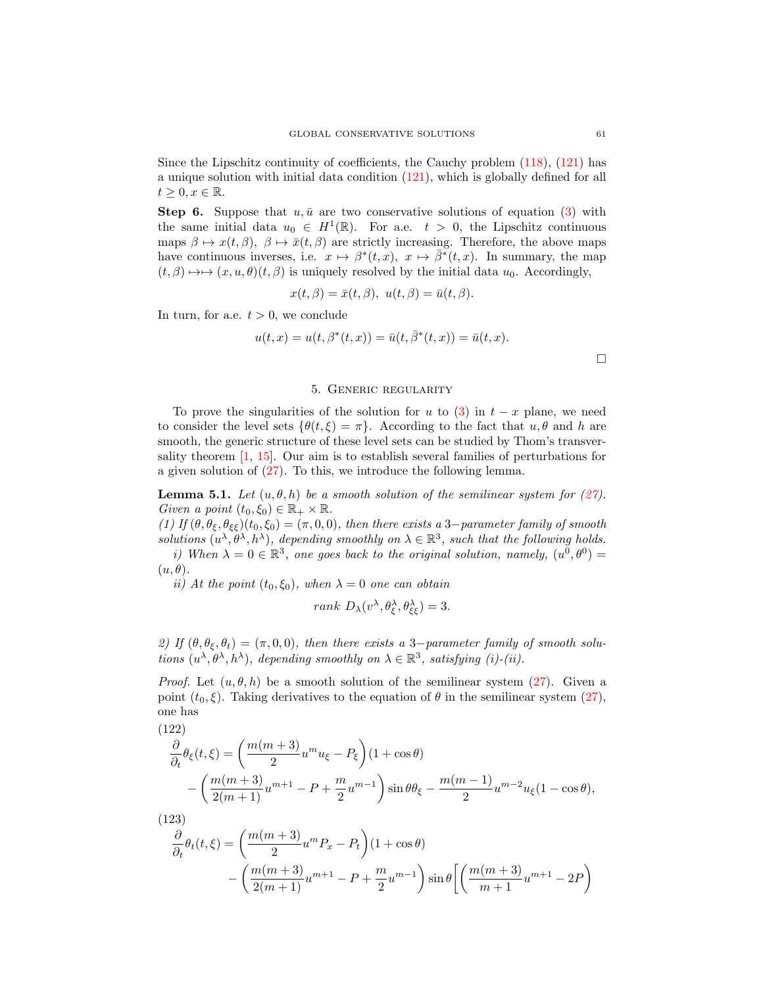Since the Lipschitz continuity of coefficients, the Cauchy problem [\(118\)](#page-23-2), [\(121\)](#page-23-3) has a unique solution with initial data condition [\(121\)](#page-23-3), which is globally defined for all  $t \geq 0, x \in \mathbb{R}$ .

**Step 6.** Suppose that  $u, \bar{u}$  are two conservative solutions of equation [\(3\)](#page-1-0) with the same initial data  $u_0 \in H^1(\mathbb{R})$ . For a.e.  $t > 0$ , the Lipschitz continuous maps  $\beta \mapsto x(t, \beta)$ ,  $\beta \mapsto \bar{x}(t, \beta)$  are strictly increasing. Therefore, the above maps have continuous inverses, i.e.  $x \mapsto \beta^*(t, x)$ ,  $x \mapsto \overline{\beta^*}(t, x)$ . In summary, the map  $(t, \beta) \mapsto (x, u, \theta)(t, \beta)$  is uniquely resolved by the initial data  $u_0$ . Accordingly,

$$
x(t, \beta) = \bar{x}(t, \beta), \ u(t, \beta) = \bar{u}(t, \beta).
$$

In turn, for a.e.  $t > 0$ , we conclude

$$
u(t, x) = u(t, \beta^*(t, x)) = \bar{u}(t, \bar{\beta}^*(t, x)) = \bar{u}(t, x).
$$

### 5. Generic regularity

<span id="page-24-0"></span>To prove the singularities of the solution for u to [\(3\)](#page-1-0) in  $t - x$  plane, we need to consider the level sets  $\{\theta(t,\xi) = \pi\}$ . According to the fact that  $u, \theta$  and h are smooth, the generic structure of these level sets can be studied by Thom's transversality theorem [\[1,](#page-29-22) [15\]](#page-29-23). Our aim is to establish several families of perturbations for a given solution of [\(27\)](#page-5-1). To this, we introduce the following lemma.

**Lemma 5.1.** Let  $(u, \theta, h)$  be a smooth solution of the semilinear system for [\(27\)](#page-5-1). Given a point  $(t_0, \xi_0) \in \mathbb{R}_+ \times \mathbb{R}$ .

(1) If  $(\theta, \theta_{\xi}, \theta_{\xi\xi})(t_0, \xi_0) = (\pi, 0, 0)$ , then there exists a 3-parameter family of smooth solutions  $(u^{\lambda}, \theta^{\lambda}, h^{\lambda})$ , depending smoothly on  $\lambda \in \mathbb{R}^3$ , such that the following holds. i) When  $\lambda = 0 \in \mathbb{R}^3$ , one goes back to the original solution, namely,  $(u^0, \theta^0) =$  $(u, \theta).$ 

ii) At the point  $(t_0, \xi_0)$ , when  $\lambda = 0$  one can obtain

$$
rank\ D_{\lambda}(v^{\lambda}, \theta_{\xi}^{\lambda}, \theta_{\xi\xi}^{\lambda}) = 3.
$$

2) If  $(\theta, \theta_{\xi}, \theta_t) = (\pi, 0, 0)$ , then there exists a 3-parameter family of smooth solutions  $(u^{\lambda}, \theta^{\lambda}, h^{\lambda})$ , depending smoothly on  $\lambda \in \mathbb{R}^{3}$ , satisfying (i)-(ii).

*Proof.* Let  $(u, \theta, h)$  be a smooth solution of the semilinear system [\(27\)](#page-5-1). Given a point  $(t_0, \xi)$ . Taking derivatives to the equation of  $\theta$  in the semilinear system [\(27\)](#page-5-1), one has

<span id="page-24-1"></span>(122)  
\n
$$
\frac{\partial}{\partial_t} \theta_{\xi}(t,\xi) = \left(\frac{m(m+3)}{2} u^m u_{\xi} - P_{\xi}\right) (1 + \cos \theta)
$$
\n
$$
- \left(\frac{m(m+3)}{2(m+1)} u^{m+1} - P + \frac{m}{2} u^{m-1}\right) \sin \theta \theta_{\xi} - \frac{m(m-1)}{2} u^{m-2} u_{\xi} (1 - \cos \theta),
$$

(123)

<span id="page-24-2"></span>
$$
\frac{\partial}{\partial_t} \theta_t(t,\xi) = \left(\frac{m(m+3)}{2} u^m P_x - P_t\right) (1 + \cos \theta) \n- \left(\frac{m(m+3)}{2(m+1)} u^{m+1} - P + \frac{m}{2} u^{m-1}\right) \sin \theta \left[ \left(\frac{m(m+3)}{m+1} u^{m+1} - 2P\right) \right]
$$

 $\Box$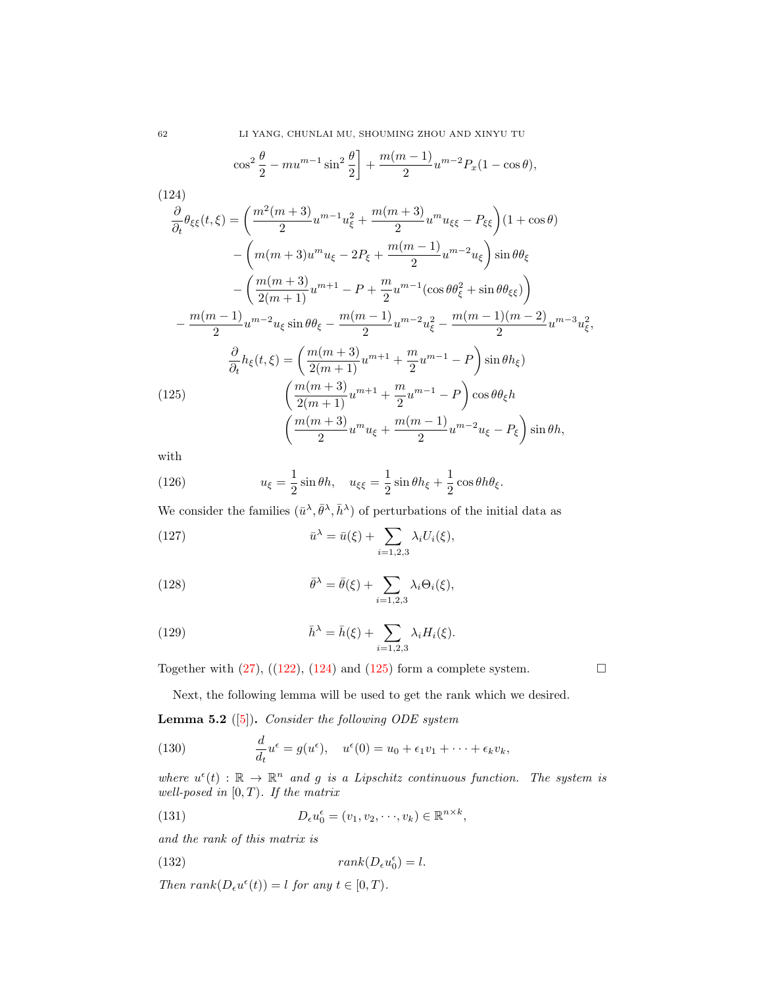$$
\cos^2 \frac{\theta}{2} - m u^{m-1} \sin^2 \frac{\theta}{2} + \frac{m(m-1)}{2} u^{m-2} P_x (1 - \cos \theta),
$$

<span id="page-25-0"></span>(124)  
\n
$$
\frac{\partial}{\partial_t} \theta_{\xi\xi}(t,\xi) = \left(\frac{m^2(m+3)}{2} u^{m-1} u_{\xi}^2 + \frac{m(m+3)}{2} u^m u_{\xi\xi} - P_{\xi\xi}\right) (1 + \cos \theta)
$$
\n
$$
- \left(m(m+3) u^m u_{\xi} - 2P_{\xi} + \frac{m(m-1)}{2} u^{m-2} u_{\xi}\right) \sin \theta \theta_{\xi}
$$
\n
$$
- \left(\frac{m(m+3)}{2(m+1)} u^{m+1} - P + \frac{m}{2} u^{m-1} (\cos \theta \theta_{\xi}^2 + \sin \theta \theta_{\xi\xi})\right)
$$
\n
$$
- \frac{m(m-1)}{2} u^{m-2} u_{\xi} \sin \theta \theta_{\xi} - \frac{m(m-1)}{2} u^{m-2} u_{\xi}^2 - \frac{m(m-1)(m-2)}{2} u^{m-3} u_{\xi}^2,
$$
\n
$$
\frac{\partial}{\partial_t} h_{\xi}(t,\xi) = \left(\frac{m(m+3)}{2(m+1)} u^{m+1} + \frac{m}{2} u^{m-1} - P\right) \sin \theta h_{\xi}
$$
\n(125)  
\n
$$
\left(\frac{m(m+3)}{2(m+1)} u^{m+1} + \frac{m}{2} u^{m-1} - P\right) \cos \theta \theta_{\xi} h
$$
\n
$$
\left(\frac{m(m+3)}{2} u^m u_{\xi} + \frac{m(m-1)}{2} u^{m-2} u_{\xi} - P_{\xi}\right) \sin \theta h,
$$

<span id="page-25-1"></span>with

(126) 
$$
u_{\xi} = \frac{1}{2}\sin\theta h, \quad u_{\xi\xi} = \frac{1}{2}\sin\theta h_{\xi} + \frac{1}{2}\cos\theta h \theta_{\xi}.
$$

We consider the families  $(\bar{u}^{\lambda}, \bar{\theta}^{\lambda}, \bar{h}^{\lambda})$  of perturbations of the initial data as

<span id="page-25-2"></span>(127) 
$$
\bar{u}^{\lambda} = \bar{u}(\xi) + \sum_{i=1,2,3} \lambda_i U_i(\xi),
$$

(128) 
$$
\bar{\theta}^{\lambda} = \bar{\theta}(\xi) + \sum_{i=1,2,3} \lambda_i \Theta_i(\xi),
$$

<span id="page-25-3"></span>(129) 
$$
\bar{h}^{\lambda} = \bar{h}(\xi) + \sum_{i=1,2,3} \lambda_i H_i(\xi).
$$

Together with  $(27)$ ,  $((122)$  $((122)$ ,  $(124)$  and  $(125)$  form a complete system.

Next, the following lemma will be used to get the rank which we desired.

**Lemma 5.2** ([\[5\]](#page-29-24)). Consider the following ODE system

(130) 
$$
\frac{d}{dt}u^{\epsilon} = g(u^{\epsilon}), \quad u^{\epsilon}(0) = u_0 + \epsilon_1 v_1 + \cdots + \epsilon_k v_k,
$$

where  $u^{\epsilon}(t) : \mathbb{R} \to \mathbb{R}^{n}$  and g is a Lipschitz continuous function. The system is well-posed in  $[0, T)$ . If the matrix

(131) 
$$
D_{\epsilon}u_0^{\epsilon} = (v_1, v_2, \cdots, v_k) \in \mathbb{R}^{n \times k},
$$

and the rank of this matrix is

(132) 
$$
rank(D_{\epsilon}u_0^{\epsilon})=l.
$$

Then  $rank(D_{\epsilon}u^{\epsilon}(t)) = l$  for any  $t \in [0, T)$ .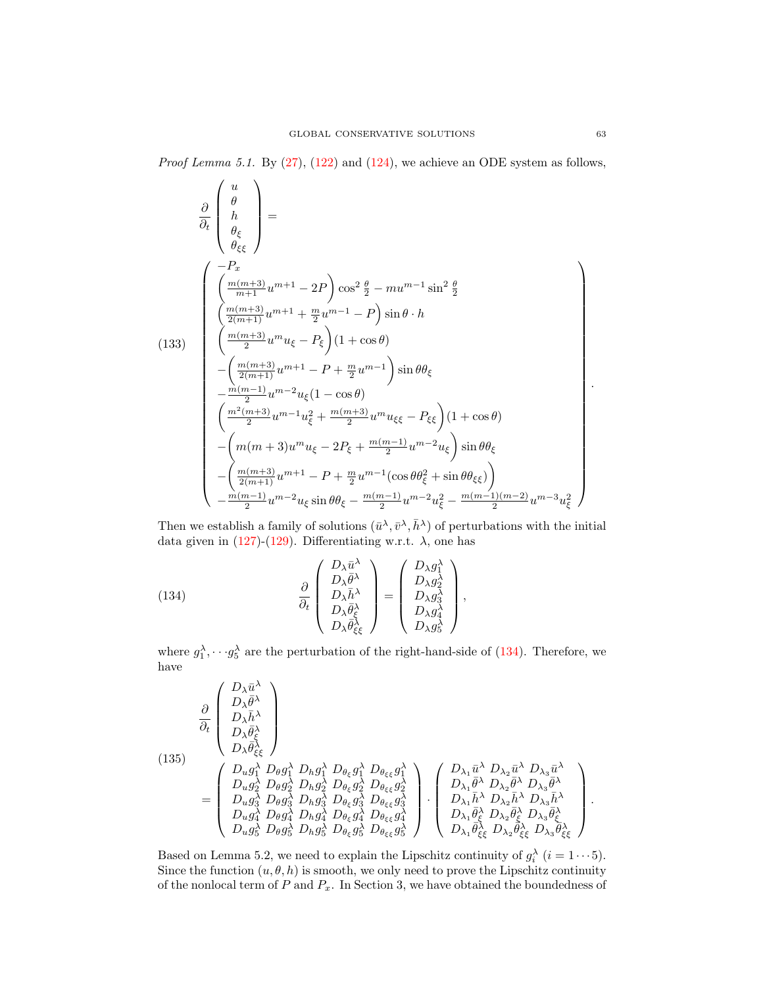*Proof Lemma 5.1.* By  $(27)$ ,  $(122)$  and  $(124)$ , we achieve an ODE system as follows,

$$
\frac{\partial}{\partial t} \begin{pmatrix} u \\ \theta \\ h \\ \theta_{\xi} \\ \theta_{\xi} \end{pmatrix} =
$$
\n
$$
(133)
$$
\n
$$
\begin{pmatrix} -P_x \\ \frac{m(m+3)}{m+1}u^{m+1} - 2P \\ \frac{m(m+3)}{2}u^{m+1} + \frac{m}{2}u^{m-1} - P \end{pmatrix} \sin \theta \cdot h
$$
\n
$$
(133)
$$
\n
$$
\begin{pmatrix} \frac{m(m+3)}{2}u^{m+1} + \frac{m}{2}u^{m-1} - P \end{pmatrix} \sin \theta \cdot h
$$
\n
$$
-\left(\frac{m(m+3)}{2}(m+1)u^{m+1} - P + \frac{m}{2}u^{m-1}\right) \sin \theta \theta_{\xi}
$$
\n
$$
-\frac{m(m-1)}{2}u^{m-2}u_{\xi}(1 - \cos \theta)
$$
\n
$$
\left(\frac{m^{2}(m+3)}{2}u^{m-1}u_{\xi}^{2} + \frac{m(m+3)}{2}u^{m}u_{\xi\xi} - P_{\xi\xi}\right)(1 + \cos \theta)
$$
\n
$$
-\left(m(m+3)u^{m}u_{\xi} - 2P_{\xi} + \frac{m(m-1)}{2}u^{m-2}u_{\xi}\right) \sin \theta \theta_{\xi}
$$
\n
$$
-\left(\frac{m(m+3)}{2}(m+1)u^{m+1} - P + \frac{m}{2}u^{m-1}(\cos \theta \theta_{\xi}^{2} + \sin \theta \theta_{\xi\xi})\right)
$$
\n
$$
-\frac{m(m-1)}{2}u^{m-2}u_{\xi} \sin \theta \theta_{\xi} - \frac{m(m-1)}{2}u^{m-2}u_{\xi}^{2} - \frac{m(m-1)(m-2)}{2}u^{m-3}u_{\xi}^{2}
$$

Then we establish a family of solutions  $(\bar{u}^{\lambda}, \bar{v}^{\lambda}, \bar{h}^{\lambda})$  of perturbations with the initial data given in [\(127\)](#page-25-2)-[\(129\)](#page-25-3). Differentiating w.r.t.  $\lambda$ , one has

<span id="page-26-0"></span>(134) 
$$
\frac{\partial}{\partial_t} \begin{pmatrix} D_{\lambda} \bar{u}^{\lambda} \\ D_{\lambda} \bar{\theta}^{\lambda} \\ D_{\lambda} \bar{h}^{\lambda} \\ D_{\lambda} \bar{\theta}^{\lambda} \\ D_{\lambda} \bar{\theta}^{\lambda}_{\xi\xi} \end{pmatrix} = \begin{pmatrix} D_{\lambda} g_1^{\lambda} \\ D_{\lambda} g_2^{\lambda} \\ D_{\lambda} g_3^{\lambda} \\ D_{\lambda} g_4^{\lambda} \\ D_{\lambda} g_5^{\lambda} \end{pmatrix},
$$

where  $g_1^{\lambda}, \dots, g_5^{\lambda}$  are the perturbation of the right-hand-side of [\(134\)](#page-26-0). Therefore, we have

(135)  
\n
$$
\frac{\partial}{\partial t} \begin{pmatrix}\nD_{\lambda} \bar{u}^{\lambda} \\
D_{\lambda} \bar{\theta}^{\lambda} \\
D_{\lambda} \bar{\theta}^{\lambda} \\
D_{\lambda} \bar{\theta}^{\lambda} \\
D_{\lambda} \bar{\theta}^{\lambda} \\
D_{\lambda} \bar{\theta}^{\lambda} \\
D_{\lambda} \bar{\theta}^{\lambda} \\
D_{\lambda} \bar{\theta}^{\lambda} \\
D_{\mu} g_{\lambda}^{\lambda} D_{\theta} g_{\lambda}^{\lambda} D_{\mu} g_{\lambda}^{\lambda} D_{\theta_{\xi}} g_{\lambda}^{\lambda} \\
D_{\mu} g_{\lambda}^{\lambda} D_{\mu} g_{\lambda}^{\lambda} D_{\theta_{\xi}} g_{\lambda}^{\lambda} D_{\theta_{\xi}} g_{\lambda}^{\lambda} \\
D_{\mu} g_{\lambda}^{\lambda} D_{\theta} g_{\lambda}^{\lambda} D_{\mu} g_{\lambda}^{\lambda} D_{\theta_{\xi}} g_{\lambda}^{\lambda} D_{\theta_{\xi}} g_{\lambda}^{\lambda} \\
D_{\mu} g_{\lambda}^{\lambda} D_{\theta} g_{\lambda}^{\lambda} D_{\theta} g_{\lambda}^{\lambda} D_{\theta_{\xi}} g_{\lambda}^{\lambda} D_{\theta_{\xi}} g_{\lambda}^{\lambda} \\
D_{\mu} g_{\lambda}^{\lambda} D_{\theta} g_{\lambda}^{\lambda} D_{\theta} g_{\lambda}^{\lambda} D_{\theta_{\xi}} g_{\lambda}^{\lambda} D_{\theta_{\xi}} g_{\lambda}^{\lambda}\n\end{pmatrix} \cdot \begin{pmatrix}\nD_{\lambda_1} \bar{u}^{\lambda} D_{\lambda_2} \bar{u}^{\lambda} D_{\lambda_3} \bar{u}^{\lambda} \\
D_{\lambda_1} \bar{u}^{\lambda} D_{\lambda_2} \bar{u}^{\lambda} D_{\lambda_3} \bar{u}^{\lambda} \\
D_{\lambda_1} \bar{u}^{\lambda} D_{\lambda_2} \bar{h}^{\lambda} D_{\lambda_3} \bar{h}^{\lambda} \\
D_{\lambda_1} \bar{u}^{\lambda} D_{\lambda_2} \bar{\theta}^{\lambda} \\
D_{\lambda_2} \bar{\theta}^{\lambda} D_{\lambda_3} \bar{\theta}^{\lambda} \\
D_{\lambda_3} \bar{\theta}^{\lambda} \\
D_{\lambda_4} \bar{\theta}^{\lambda} D
$$

Based on Lemma 5.2, we need to explain the Lipschitz continuity of  $g_i^{\lambda}$   $(i = 1 \cdots 5)$ . Since the function  $(u, \theta, h)$  is smooth, we only need to prove the Lipschitz continuity of the nonlocal term of  $P$  and  $P_x$ . In Section 3, we have obtained the boundedness of

.

.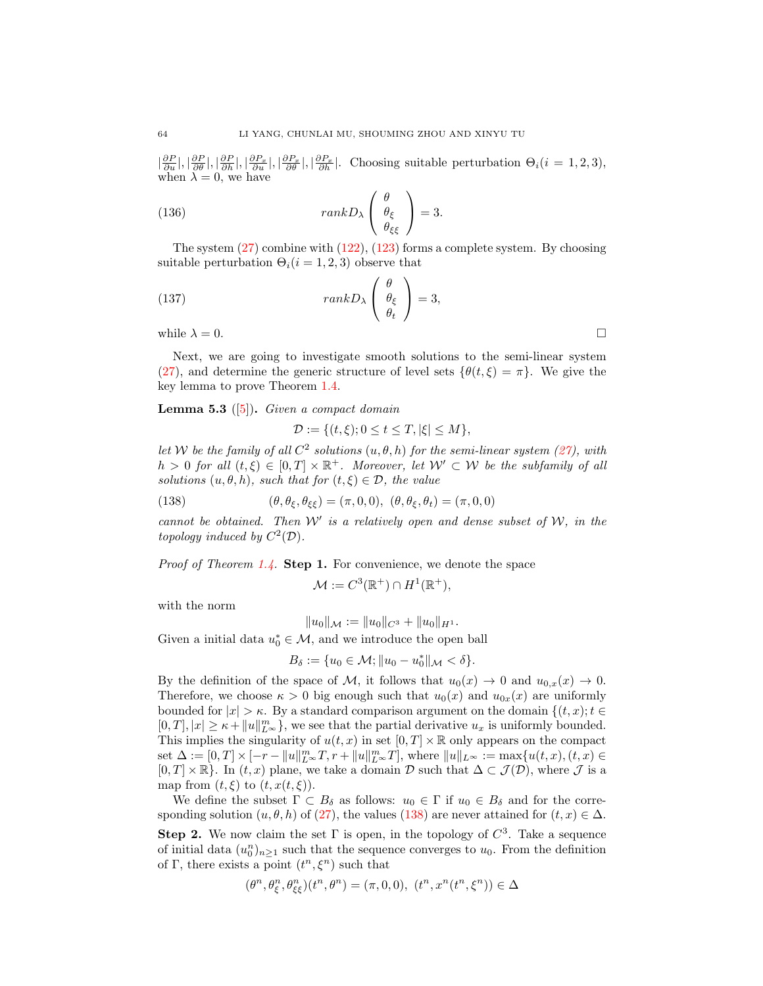$\left|\frac{\partial P}{\partial u}\right|, \left|\frac{\partial P}{\partial \theta}\right|, \left|\frac{\partial P_x}{\partial u}\right|, \left|\frac{\partial P_x}{\partial \theta}\right|, \left|\frac{\partial P_x}{\partial h}\right|$ . Choosing suitable perturbation  $\Theta_i(i=1,2,3)$ , when  $\lambda = 0$ , we have

(136) 
$$
rankD_{\lambda} \begin{pmatrix} \theta \\ \theta_{\xi} \\ \theta_{\xi\xi} \end{pmatrix} = 3.
$$

The system  $(27)$  combine with  $(122)$ ,  $(123)$  forms a complete system. By choosing suitable perturbation  $\Theta_i(i = 1, 2, 3)$  observe that

(137) 
$$
rankD_{\lambda} \begin{pmatrix} \theta \\ \theta_{\xi} \\ \theta_t \end{pmatrix} = 3,
$$

while  $\lambda = 0$ .

Next, we are going to investigate smooth solutions to the semi-linear system [\(27\)](#page-5-1), and determine the generic structure of level sets  $\{\theta(t,\xi) = \pi\}$ . We give the key lemma to prove Theorem [1.4.](#page-3-4)

**Lemma 5.3** ([\[5\]](#page-29-24)). Given a compact domain

<span id="page-27-0"></span>
$$
\mathcal{D} := \{ (t,\xi); 0 \le t \le T, |\xi| \le M \},\
$$

let W be the family of all  $C^2$  solutions  $(u, \theta, h)$  for the semi-linear system [\(27\)](#page-5-1), with  $h > 0$  for all  $(t, \xi) \in [0, T] \times \mathbb{R}^+$ . Moreover, let  $\mathcal{W}' \subset \mathcal{W}$  be the subfamily of all solutions  $(u, \theta, h)$ , such that for  $(t, \xi) \in \mathcal{D}$ , the value

(138) 
$$
(\theta, \theta_{\xi}, \theta_{\xi\xi}) = (\pi, 0, 0), \ (\theta, \theta_{\xi}, \theta_{t}) = (\pi, 0, 0)
$$

cannot be obtained. Then  $W'$  is a relatively open and dense subset of  $W$ , in the topology induced by  $C^2(\mathcal{D})$ .

*Proof of Theorem [1.4.](#page-3-4)* Step 1. For convenience, we denote the space

$$
\mathcal{M} := C^3(\mathbb{R}^+) \cap H^1(\mathbb{R}^+),
$$

with the norm

$$
\|u_0\|_{\mathcal M}:=\|u_0\|_{C^3}+\|u_0\|_{H^1}.
$$

Given a initial data  $u_0^* \in \mathcal{M}$ , and we introduce the open ball

$$
B_{\delta} := \{u_0 \in \mathcal{M}; \|u_0 - u_0^*\|_{\mathcal{M}} < \delta\}.
$$

By the definition of the space of M, it follows that  $u_0(x) \to 0$  and  $u_{0,x}(x) \to 0$ . Therefore, we choose  $\kappa > 0$  big enough such that  $u_0(x)$  and  $u_{0x}(x)$  are uniformly bounded for  $|x| > \kappa$ . By a standard comparison argument on the domain  $\{(t, x); t \in$  $[0,T], |x| \geq \kappa + ||u||_{L^{\infty}}^m$ , we see that the partial derivative  $u_x$  is uniformly bounded. This implies the singularity of  $u(t, x)$  in set  $[0, T] \times \mathbb{R}$  only appears on the compact set  $\Delta := [0, T] \times [-r - ||u||_{L^{\infty}}^m T, r + ||u||_{L^{\infty}}^m T]$ , where  $||u||_{L^{\infty}} := \max\{u(t, x), (t, x) \in$  $[0, T] \times \mathbb{R}$ . In  $(t, x)$  plane, we take a domain D such that  $\Delta \subset \mathcal{J}(\mathcal{D})$ , where  $\mathcal J$  is a map from  $(t, \xi)$  to  $(t, x(t, \xi))$ .

We define the subset  $\Gamma \subset B_\delta$  as follows:  $u_0 \in \Gamma$  if  $u_0 \in B_\delta$  and for the corresponding solution  $(u, \theta, h)$  of [\(27\)](#page-5-1), the values [\(138\)](#page-27-0) are never attained for  $(t, x) \in \Delta$ . **Step 2.** We now claim the set  $\Gamma$  is open, in the topology of  $C^3$ . Take a sequence of initial data  $(u_0^n)_{n\geq 1}$  such that the sequence converges to  $u_0$ . From the definition of Γ, there exists a point  $(t^n, \xi^n)$  such that

$$
(\theta^n,\theta_\xi^n,\theta_\xi^n)(t^n,\theta^n)=(\pi,0,0),\ (t^n,x^n(t^n,\xi^n))\in\Delta
$$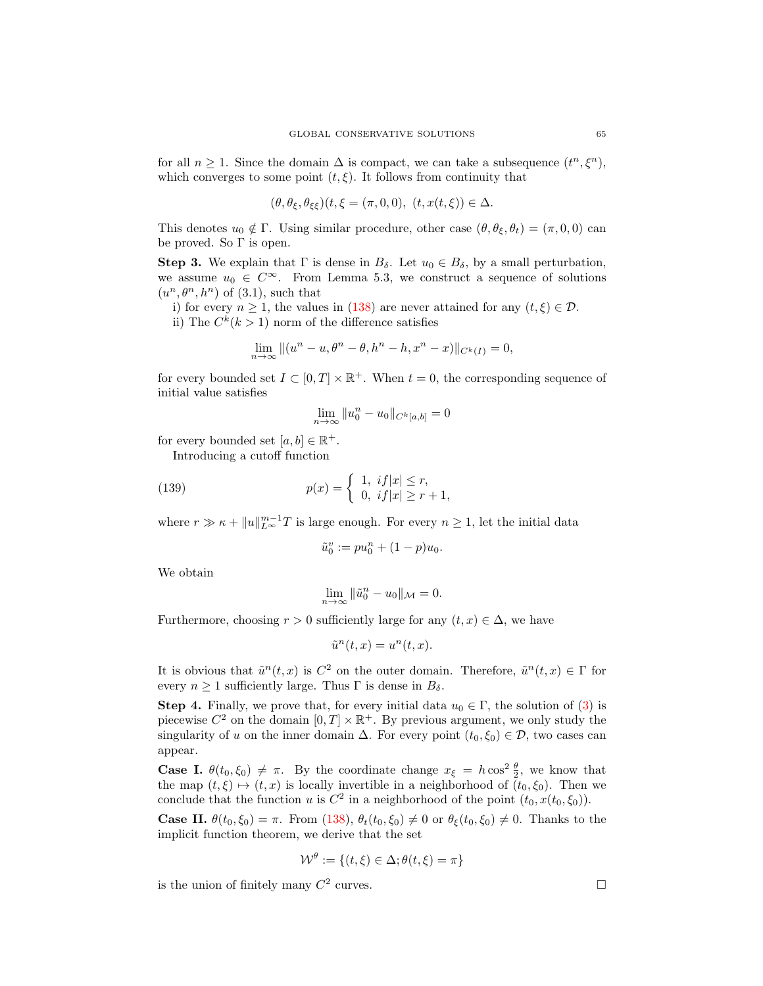for all  $n \geq 1$ . Since the domain  $\Delta$  is compact, we can take a subsequence  $(t^n, \xi^n)$ , which converges to some point  $(t, \xi)$ . It follows from continuity that

$$
(\theta, \theta_{\xi}, \theta_{\xi\xi})(t, \xi = (\pi, 0, 0), (t, x(t, \xi)) \in \Delta.
$$

This denotes  $u_0 \notin \Gamma$ . Using similar procedure, other case  $(\theta, \theta_{\xi}, \theta_t) = (\pi, 0, 0)$  can be proved. So  $\Gamma$  is open.

Step 3. We explain that  $\Gamma$  is dense in  $B_{\delta}$ . Let  $u_0 \in B_{\delta}$ , by a small perturbation, we assume  $u_0 \in C^{\infty}$ . From Lemma 5.3, we construct a sequence of solutions  $(u^n, \theta^n, h^n)$  of (3.1), such that

i) for every  $n \geq 1$ , the values in [\(138\)](#page-27-0) are never attained for any  $(t, \xi) \in \mathcal{D}$ .

ii) The  $C^k(k>1)$  norm of the difference satisfies

$$
\lim_{n \to \infty} \|(u^n - u, \theta^n - \theta, h^n - h, x^n - x)\|_{C^k(I)} = 0,
$$

for every bounded set  $I \subset [0, T] \times \mathbb{R}^+$ . When  $t = 0$ , the corresponding sequence of initial value satisfies

$$
\lim_{n \to \infty} \|u_0^n - u_0\|_{C^k[a,b]} = 0
$$

for every bounded set  $[a, b] \in \mathbb{R}^+$ .

Introducing a cutoff function

(139) 
$$
p(x) = \begin{cases} 1, & \text{if } |x| \le r, \\ 0, & \text{if } |x| \ge r+1, \end{cases}
$$

where  $r \gg \kappa + ||u||_{L^{\infty}}^{m-1}T$  is large enough. For every  $n \geq 1$ , let the initial data

$$
\tilde{u}_0^v := pu_0^n + (1 - p)u_0.
$$

We obtain

$$
\lim_{n \to \infty} \|\tilde{u}_0^n - u_0\|_{\mathcal{M}} = 0.
$$

Furthermore, choosing  $r > 0$  sufficiently large for any  $(t, x) \in \Delta$ , we have

$$
\tilde{u}^n(t,x) = u^n(t,x).
$$

It is obvious that  $\tilde{u}^n(t,x)$  is  $C^2$  on the outer domain. Therefore,  $\tilde{u}^n(t,x) \in \Gamma$  for every  $n \geq 1$  sufficiently large. Thus  $\Gamma$  is dense in  $B_{\delta}$ .

Step 4. Finally, we prove that, for every initial data  $u_0 \in \Gamma$ , the solution of [\(3\)](#page-1-0) is piecewise  $C^2$  on the domain  $[0, T] \times \mathbb{R}^+$ . By previous argument, we only study the singularity of u on the inner domain  $\Delta$ . For every point  $(t_0, \xi_0) \in \mathcal{D}$ , two cases can appear.

**Case I.**  $\theta(t_0, \xi_0) \neq \pi$ . By the coordinate change  $x_{\xi} = h \cos^2 \frac{\theta}{2}$ , we know that the map  $(t, \xi) \mapsto (t, x)$  is locally invertible in a neighborhood of  $(t_0, \xi_0)$ . Then we conclude that the function u is  $C^2$  in a neighborhood of the point  $(t_0, x(t_0, \xi_0))$ .

**Case II.**  $\theta(t_0, \xi_0) = \pi$ . From [\(138\)](#page-27-0),  $\theta_t(t_0, \xi_0) \neq 0$  or  $\theta_\xi(t_0, \xi_0) \neq 0$ . Thanks to the implicit function theorem, we derive that the set

$$
\mathcal{W}^{\theta} := \{ (t, \xi) \in \Delta; \theta(t, \xi) = \pi \}
$$

is the union of finitely many  $C^2$  curves.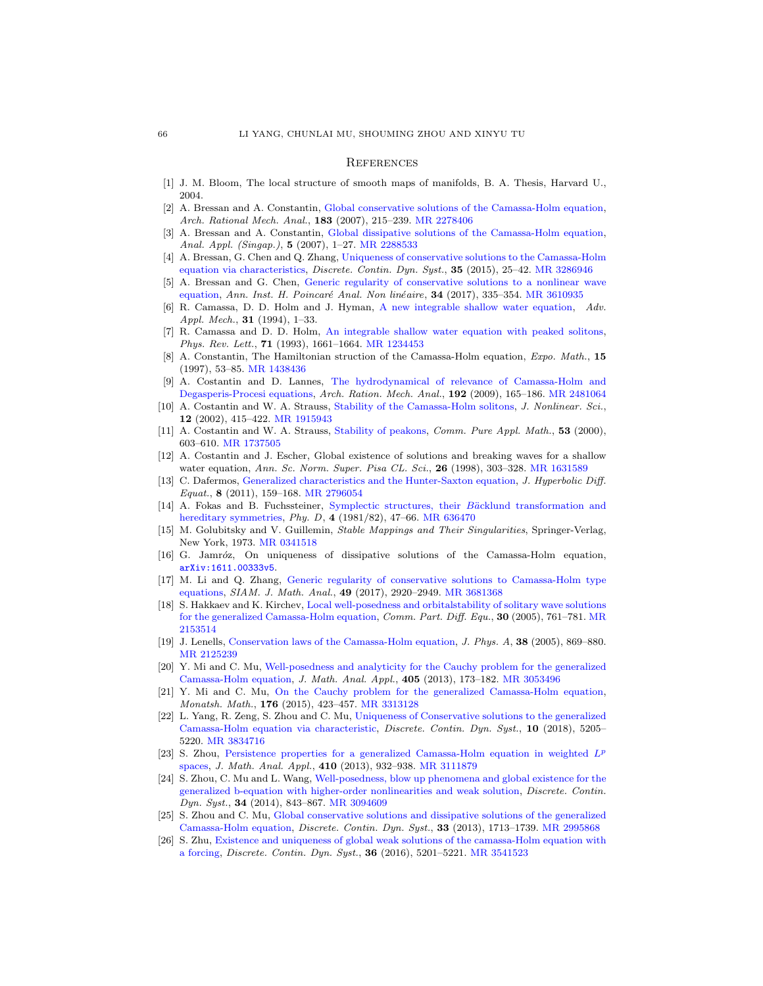#### **REFERENCES**

- <span id="page-29-22"></span>[1] J. M. Bloom, The local structure of smooth maps of manifolds, B. A. Thesis, Harvard U., 2004.
- <span id="page-29-13"></span>[2] A. Bressan and A. Constantin, [Global conservative solutions of the Camassa-Holm equation,](http://dx.doi.org/10.1007/s00205-006-0010-z) Arch. Rational Mech. Anal., 183 (2007), 215-239. [MR 2278406](http://www.ams.org/mathscinet-getitem?mr=2278406&return=pdf)
- <span id="page-29-14"></span>[3] A. Bressan and A. Constantin, [Global dissipative solutions of the Camassa-Holm equation,](http://dx.doi.org/10.1142/S0219530507000857) Anal. Appl. (Singap.), 5 (2007), 1-27. [MR 2288533](http://www.ams.org/mathscinet-getitem?mr=2288533&return=pdf)
- <span id="page-29-15"></span>[4] A. Bressan, G. Chen and Q. Zhang, [Uniqueness of conservative solutions to the Camassa-Holm](http://dx.doi.org/10.3934/dcds.2015.35.25) [equation via characteristics,](http://dx.doi.org/10.3934/dcds.2015.35.25) Discrete. Contin. Dyn. Syst., 35 (2015), 25–42. [MR 3286946](http://www.ams.org/mathscinet-getitem?mr=3286946&return=pdf)
- <span id="page-29-24"></span>[5] A. Bressan and G. Chen, [Generic regularity of conservative solutions to a nonlinear wave](http://dx.doi.org/10.1016/j.anihpc.2015.12.004) [equation,](http://dx.doi.org/10.1016/j.anihpc.2015.12.004) Ann. Inst. H. Poincaré Anal. Non linéaire,  $34$  (2017), 335–354. [MR 3610935](http://www.ams.org/mathscinet-getitem?mr=3610935&return=pdf)
- <span id="page-29-11"></span>[6] R. Camassa, D. D. Holm and J. Hyman, [A new integrable shallow water equation,](http://dx.doi.org/10.1016/S0065-2156(08)70254-0) Adv. Appl. Mech., **31** (1994), 1-33.
- <span id="page-29-6"></span>[7] R. Camassa and D. D. Holm, [An integrable shallow water equation with peaked solitons,](http://dx.doi.org/10.1103/PhysRevLett.71.1661) Phys. Rev. Lett., 71 (1993), 1661–1664. [MR 1234453](http://www.ams.org/mathscinet-getitem?mr=1234453&return=pdf)
- <span id="page-29-7"></span>[8] A. Constantin, The Hamiltonian struction of the Camassa-Holm equation, Expo. Math., 15 (1997), 53–85. [MR 1438436](http://www.ams.org/mathscinet-getitem?mr=1438436&return=pdf)
- <span id="page-29-5"></span>[9] A. Costantin and D. Lannes, [The hydrodynamical of relevance of Camassa-Holm and](http://dx.doi.org/10.1007/s00205-008-0128-2) [Degasperis-Procesi equations,](http://dx.doi.org/10.1007/s00205-008-0128-2) Arch. Ration. Mech. Anal., 192 (2009), 165–186. [MR 2481064](http://www.ams.org/mathscinet-getitem?mr=2481064&return=pdf)
- <span id="page-29-9"></span>[10] A. Costantin and W. A. Strauss, [Stability of the Camassa-Holm solitons,](http://dx.doi.org/10.1007/s00332-002-0517-x) J. Nonlinear. Sci., 12 (2002), 415–422. [MR 1915943](http://www.ams.org/mathscinet-getitem?mr=1915943&return=pdf)
- <span id="page-29-10"></span>[11] A. Costantin and W. A. Strauss, [Stability of peakons,](http://dx.doi.org/10.1002/(SICI)1097-0312(200005)53:5<603::AID-CPA3>3.0.CO;2-L) *Comm. Pure Appl. Math.*, **53** (2000), 603–610. [MR 1737505](http://www.ams.org/mathscinet-getitem?mr=1737505&return=pdf)
- <span id="page-29-12"></span>[12] A. Costantin and J. Escher, Global existence of solutions and breaking waves for a shallow water equation, Ann. Sc. Norm. Super. Pisa CL. Sci., 26 (1998), 303-328. [MR 1631589](http://www.ams.org/mathscinet-getitem?mr=1631589&return=pdf)
- [13] C. Dafermos, [Generalized characteristics and the Hunter-Saxton equation,](http://dx.doi.org/10.1142/S0219891611002366) J. Hyperbolic Diff. Equat., 8 (2011), 159–168. [MR 2796054](http://www.ams.org/mathscinet-getitem?mr=2796054&return=pdf)
- <span id="page-29-4"></span>[14] A. Fokas and B. Fuchssteiner, Symplectic structures, their Bäcklund transformation and [hereditary symmetries,](http://dx.doi.org/10.1016/0167-2789(81)90004-X) Phy. D, 4 (1981/82), 47–66. [MR 636470](http://www.ams.org/mathscinet-getitem?mr=636470&return=pdf)
- <span id="page-29-23"></span>[15] M. Golubitsky and V. Guillemin, Stable Mappings and Their Singularities, Springer-Verlag, New York, 1973. [MR 0341518](http://www.ams.org/mathscinet-getitem?mr=0341518&return=pdf)
- <span id="page-29-16"></span>[16] G. Jamróz, On uniqueness of dissipative solutions of the Camassa-Holm equation, [arXiv:1611.00333v5](http://arxiv.org/pdf/1611.00333v5).
- <span id="page-29-17"></span>[17] M. Li and Q. Zhang, [Generic regularity of conservative solutions to Camassa-Holm type](http://dx.doi.org/10.1137/16M1063009) [equations,](http://dx.doi.org/10.1137/16M1063009) SIAM. J. Math. Anal., 49 (2017), 2920–2949. [MR 3681368](http://www.ams.org/mathscinet-getitem?mr=3681368&return=pdf)
- <span id="page-29-0"></span>[18] S. Hakkaev and K. Kirchev, [Local well-posedness and orbitalstability of solitary wave solutions](http://dx.doi.org/10.1081/PDE-200059284) [for the generalized Camassa-Holm equation,](http://dx.doi.org/10.1081/PDE-200059284) Comm. Part. Diff. Equ., 30 (2005), 761–781. [MR](http://www.ams.org/mathscinet-getitem?mr=2153514&return=pdf) [2153514](http://www.ams.org/mathscinet-getitem?mr=2153514&return=pdf)
- <span id="page-29-8"></span>[19] J. Lenells, [Conservation laws of the Camassa-Holm equation,](http://dx.doi.org/10.1088/0305-4470/38/4/007) J. Phys. A, 38 (2005), 869–880. [MR 2125239](http://www.ams.org/mathscinet-getitem?mr=2125239&return=pdf)
- <span id="page-29-1"></span>[20] Y. Mi and C. Mu, [Well-posedness and analyticity for the Cauchy problem for the generalized](http://dx.doi.org/10.1016/j.jmaa.2013.03.020) [Camassa-Holm equation,](http://dx.doi.org/10.1016/j.jmaa.2013.03.020) J. Math. Anal. Appl., 405 (2013), 173–182. [MR 3053496](http://www.ams.org/mathscinet-getitem?mr=3053496&return=pdf)
- <span id="page-29-3"></span>[21] Y. Mi and C. Mu, [On the Cauchy problem for the generalized Camassa-Holm equation,](http://dx.doi.org/10.1007/s00605-014-0625-3) Monatsh. Math., 176 (2015), 423–457. [MR 3313128](http://www.ams.org/mathscinet-getitem?mr=3313128&return=pdf)
- <span id="page-29-18"></span>[22] L. Yang, R. Zeng, S. Zhou and C. Mu, [Uniqueness of Conservative solutions to the generalized](http://dx.doi.org/10.3934/dcds.2018230) [Camassa-Holm equation via characteristic,](http://dx.doi.org/10.3934/dcds.2018230) Discrete. Contin. Dyn. Syst., 10 (2018), 5205– 5220. [MR 3834716](http://www.ams.org/mathscinet-getitem?mr=3834716&return=pdf)
- <span id="page-29-2"></span>[23] S. Zhou, [Persistence properties for a generalized Camassa-Holm equation in weighted](http://dx.doi.org/10.1016/j.jmaa.2013.09.022)  $L^p$ [spaces,](http://dx.doi.org/10.1016/j.jmaa.2013.09.022) J. Math. Anal. Appl., 410 (2013), 932–938. [MR 3111879](http://www.ams.org/mathscinet-getitem?mr=3111879&return=pdf)
- <span id="page-29-21"></span>[24] S. Zhou, C. Mu and L. Wang, [Well-posedness, blow up phenomena and global existence for the](http://dx.doi.org/10.3934/dcds.2014.34.843) [generalized b-equation with higher-order nonlinearities and weak solution,](http://dx.doi.org/10.3934/dcds.2014.34.843) Discrete. Contin. Dyn. Syst., 34 (2014), 843–867. [MR 3094609](http://www.ams.org/mathscinet-getitem?mr=3094609&return=pdf)
- <span id="page-29-19"></span>[25] S. Zhou and C. Mu, [Global conservative solutions and dissipative solutions of the generalized](http://dx.doi.org/10.3934/dcds.2013.33.1713) [Camassa-Holm equation,](http://dx.doi.org/10.3934/dcds.2013.33.1713) *Discrete. Contin. Dyn. Syst.*, **33** (2013), 1713–1739. [MR 2995868](http://www.ams.org/mathscinet-getitem?mr=2995868&return=pdf)
- <span id="page-29-20"></span>[26] S. Zhu, [Existence and uniqueness of global weak solutions of the camassa-Holm equation with](http://dx.doi.org/10.3934/dcds.2016026) [a forcing,](http://dx.doi.org/10.3934/dcds.2016026) Discrete. Contin. Dyn. Syst., 36 (2016), 5201–5221. [MR 3541523](http://www.ams.org/mathscinet-getitem?mr=3541523&return=pdf)